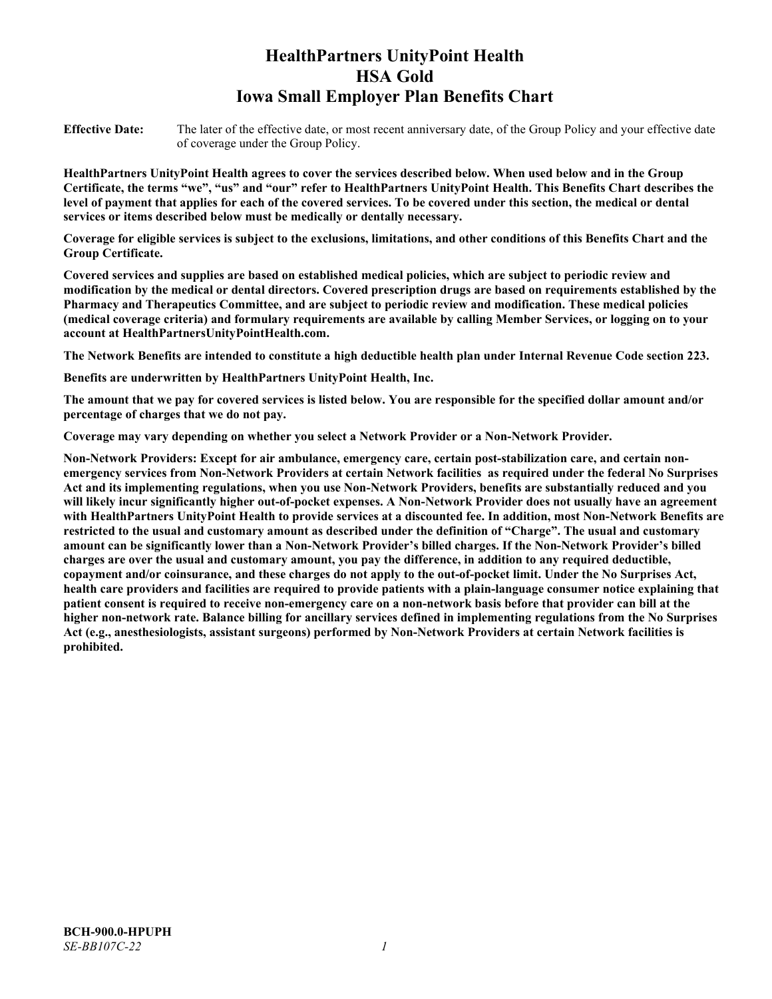# **HealthPartners UnityPoint Health HSA Gold Iowa Small Employer Plan Benefits Chart**

**Effective Date:** The later of the effective date, or most recent anniversary date, of the Group Policy and your effective date of coverage under the Group Policy.

**HealthPartners UnityPoint Health agrees to cover the services described below. When used below and in the Group Certificate, the terms "we", "us" and "our" refer to HealthPartners UnityPoint Health. This Benefits Chart describes the level of payment that applies for each of the covered services. To be covered under this section, the medical or dental services or items described below must be medically or dentally necessary.**

**Coverage for eligible services is subject to the exclusions, limitations, and other conditions of this Benefits Chart and the Group Certificate.** 

**Covered services and supplies are based on established medical policies, which are subject to periodic review and modification by the medical or dental directors. Covered prescription drugs are based on requirements established by the Pharmacy and Therapeutics Committee, and are subject to periodic review and modification. These medical policies (medical coverage criteria) and formulary requirements are available by calling Member Services, or logging on to your account at [HealthPartnersUnityPointHealth.com.](https://www.healthpartnersunitypointhealth.com/)**

**The Network Benefits are intended to constitute a high deductible health plan under Internal Revenue Code section 223.**

**Benefits are underwritten by HealthPartners UnityPoint Health, Inc.**

**The amount that we pay for covered services is listed below. You are responsible for the specified dollar amount and/or percentage of charges that we do not pay.**

**Coverage may vary depending on whether you select a Network Provider or a Non-Network Provider.**

**Non-Network Providers: Except for air ambulance, emergency care, certain post-stabilization care, and certain nonemergency services from Non-Network Providers at certain Network facilities as required under the federal No Surprises Act and its implementing regulations, when you use Non-Network Providers, benefits are substantially reduced and you will likely incur significantly higher out-of-pocket expenses. A Non-Network Provider does not usually have an agreement with HealthPartners UnityPoint Health to provide services at a discounted fee. In addition, most Non-Network Benefits are restricted to the usual and customary amount as described under the definition of "Charge". The usual and customary amount can be significantly lower than a Non-Network Provider's billed charges. If the Non-Network Provider's billed charges are over the usual and customary amount, you pay the difference, in addition to any required deductible, copayment and/or coinsurance, and these charges do not apply to the out-of-pocket limit. Under the No Surprises Act, health care providers and facilities are required to provide patients with a plain-language consumer notice explaining that patient consent is required to receive non-emergency care on a non-network basis before that provider can bill at the higher non-network rate. Balance billing for ancillary services defined in implementing regulations from the No Surprises Act (e.g., anesthesiologists, assistant surgeons) performed by Non-Network Providers at certain Network facilities is prohibited.**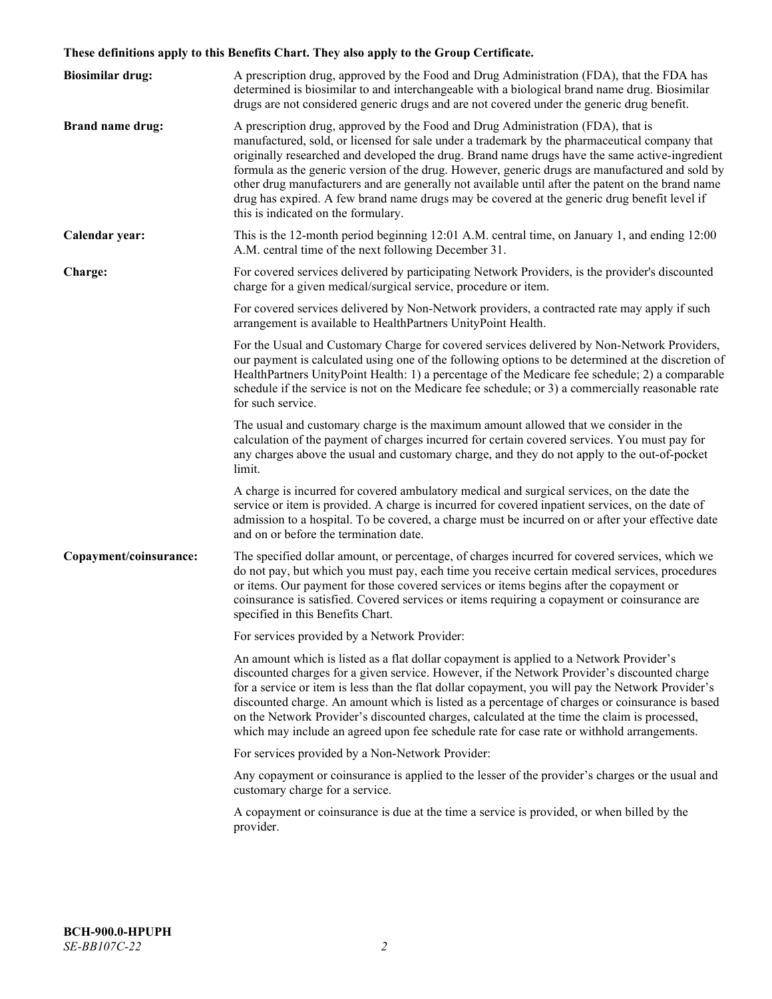# **These definitions apply to this Benefits Chart. They also apply to the Group Certificate.**

| <b>Biosimilar drug:</b> | A prescription drug, approved by the Food and Drug Administration (FDA), that the FDA has<br>determined is biosimilar to and interchangeable with a biological brand name drug. Biosimilar<br>drugs are not considered generic drugs and are not covered under the generic drug benefit.                                                                                                                                                                                                                                                                                                                                           |
|-------------------------|------------------------------------------------------------------------------------------------------------------------------------------------------------------------------------------------------------------------------------------------------------------------------------------------------------------------------------------------------------------------------------------------------------------------------------------------------------------------------------------------------------------------------------------------------------------------------------------------------------------------------------|
| <b>Brand name drug:</b> | A prescription drug, approved by the Food and Drug Administration (FDA), that is<br>manufactured, sold, or licensed for sale under a trademark by the pharmaceutical company that<br>originally researched and developed the drug. Brand name drugs have the same active-ingredient<br>formula as the generic version of the drug. However, generic drugs are manufactured and sold by<br>other drug manufacturers and are generally not available until after the patent on the brand name<br>drug has expired. A few brand name drugs may be covered at the generic drug benefit level if<br>this is indicated on the formulary. |
| Calendar year:          | This is the 12-month period beginning 12:01 A.M. central time, on January 1, and ending 12:00<br>A.M. central time of the next following December 31.                                                                                                                                                                                                                                                                                                                                                                                                                                                                              |
| Charge:                 | For covered services delivered by participating Network Providers, is the provider's discounted<br>charge for a given medical/surgical service, procedure or item.                                                                                                                                                                                                                                                                                                                                                                                                                                                                 |
|                         | For covered services delivered by Non-Network providers, a contracted rate may apply if such<br>arrangement is available to HealthPartners UnityPoint Health.                                                                                                                                                                                                                                                                                                                                                                                                                                                                      |
|                         | For the Usual and Customary Charge for covered services delivered by Non-Network Providers,<br>our payment is calculated using one of the following options to be determined at the discretion of<br>HealthPartners UnityPoint Health: 1) a percentage of the Medicare fee schedule; 2) a comparable<br>schedule if the service is not on the Medicare fee schedule; or 3) a commercially reasonable rate<br>for such service.                                                                                                                                                                                                     |
|                         | The usual and customary charge is the maximum amount allowed that we consider in the<br>calculation of the payment of charges incurred for certain covered services. You must pay for<br>any charges above the usual and customary charge, and they do not apply to the out-of-pocket<br>limit.                                                                                                                                                                                                                                                                                                                                    |
|                         | A charge is incurred for covered ambulatory medical and surgical services, on the date the<br>service or item is provided. A charge is incurred for covered inpatient services, on the date of<br>admission to a hospital. To be covered, a charge must be incurred on or after your effective date<br>and on or before the termination date.                                                                                                                                                                                                                                                                                      |
| Copayment/coinsurance:  | The specified dollar amount, or percentage, of charges incurred for covered services, which we<br>do not pay, but which you must pay, each time you receive certain medical services, procedures<br>or items. Our payment for those covered services or items begins after the copayment or<br>coinsurance is satisfied. Covered services or items requiring a copayment or coinsurance are<br>specified in this Benefits Chart.                                                                                                                                                                                                   |
|                         | For services provided by a Network Provider:                                                                                                                                                                                                                                                                                                                                                                                                                                                                                                                                                                                       |
|                         | An amount which is listed as a flat dollar copayment is applied to a Network Provider's<br>discounted charges for a given service. However, if the Network Provider's discounted charge<br>for a service or item is less than the flat dollar copayment, you will pay the Network Provider's<br>discounted charge. An amount which is listed as a percentage of charges or coinsurance is based<br>on the Network Provider's discounted charges, calculated at the time the claim is processed,<br>which may include an agreed upon fee schedule rate for case rate or withhold arrangements.                                      |
|                         | For services provided by a Non-Network Provider:                                                                                                                                                                                                                                                                                                                                                                                                                                                                                                                                                                                   |
|                         | Any copayment or coinsurance is applied to the lesser of the provider's charges or the usual and<br>customary charge for a service.                                                                                                                                                                                                                                                                                                                                                                                                                                                                                                |
|                         | A copayment or coinsurance is due at the time a service is provided, or when billed by the<br>provider.                                                                                                                                                                                                                                                                                                                                                                                                                                                                                                                            |
|                         |                                                                                                                                                                                                                                                                                                                                                                                                                                                                                                                                                                                                                                    |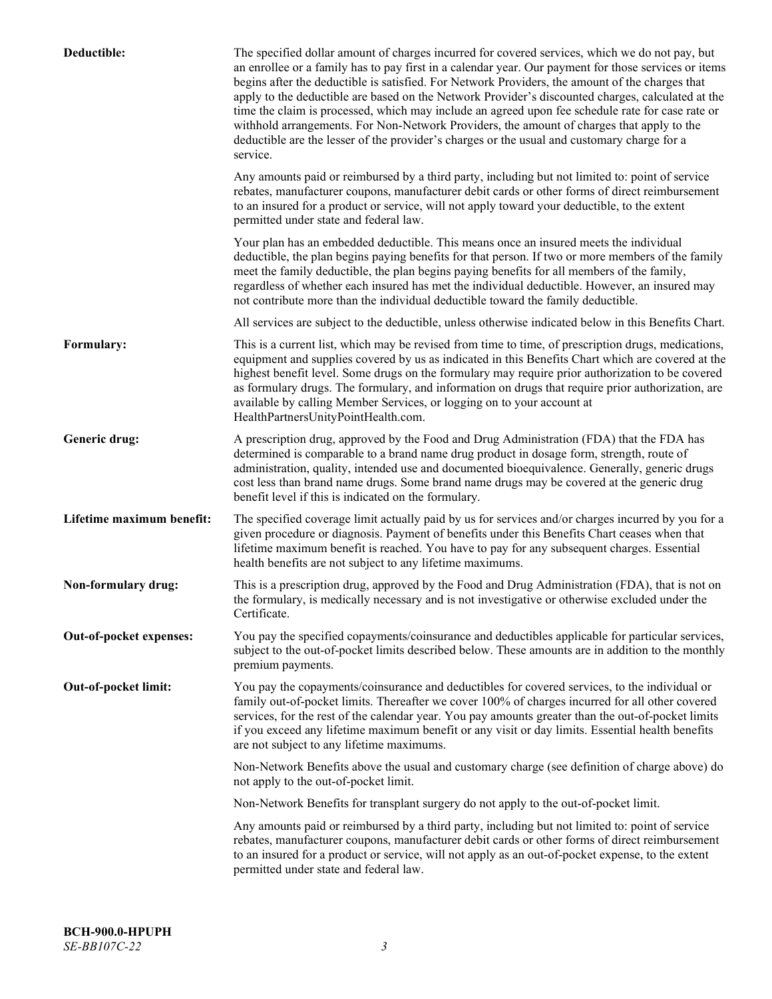| Deductible:               | The specified dollar amount of charges incurred for covered services, which we do not pay, but<br>an enrollee or a family has to pay first in a calendar year. Our payment for those services or items<br>begins after the deductible is satisfied. For Network Providers, the amount of the charges that<br>apply to the deductible are based on the Network Provider's discounted charges, calculated at the<br>time the claim is processed, which may include an agreed upon fee schedule rate for case rate or<br>withhold arrangements. For Non-Network Providers, the amount of charges that apply to the<br>deductible are the lesser of the provider's charges or the usual and customary charge for a<br>service. |
|---------------------------|----------------------------------------------------------------------------------------------------------------------------------------------------------------------------------------------------------------------------------------------------------------------------------------------------------------------------------------------------------------------------------------------------------------------------------------------------------------------------------------------------------------------------------------------------------------------------------------------------------------------------------------------------------------------------------------------------------------------------|
|                           | Any amounts paid or reimbursed by a third party, including but not limited to: point of service<br>rebates, manufacturer coupons, manufacturer debit cards or other forms of direct reimbursement<br>to an insured for a product or service, will not apply toward your deductible, to the extent<br>permitted under state and federal law.                                                                                                                                                                                                                                                                                                                                                                                |
|                           | Your plan has an embedded deductible. This means once an insured meets the individual<br>deductible, the plan begins paying benefits for that person. If two or more members of the family<br>meet the family deductible, the plan begins paying benefits for all members of the family,<br>regardless of whether each insured has met the individual deductible. However, an insured may<br>not contribute more than the individual deductible toward the family deductible.                                                                                                                                                                                                                                              |
|                           | All services are subject to the deductible, unless otherwise indicated below in this Benefits Chart.                                                                                                                                                                                                                                                                                                                                                                                                                                                                                                                                                                                                                       |
| Formulary:                | This is a current list, which may be revised from time to time, of prescription drugs, medications,<br>equipment and supplies covered by us as indicated in this Benefits Chart which are covered at the<br>highest benefit level. Some drugs on the formulary may require prior authorization to be covered<br>as formulary drugs. The formulary, and information on drugs that require prior authorization, are<br>available by calling Member Services, or logging on to your account at<br>HealthPartnersUnityPointHealth.com.                                                                                                                                                                                         |
| Generic drug:             | A prescription drug, approved by the Food and Drug Administration (FDA) that the FDA has<br>determined is comparable to a brand name drug product in dosage form, strength, route of<br>administration, quality, intended use and documented bioequivalence. Generally, generic drugs<br>cost less than brand name drugs. Some brand name drugs may be covered at the generic drug<br>benefit level if this is indicated on the formulary.                                                                                                                                                                                                                                                                                 |
| Lifetime maximum benefit: | The specified coverage limit actually paid by us for services and/or charges incurred by you for a<br>given procedure or diagnosis. Payment of benefits under this Benefits Chart ceases when that<br>lifetime maximum benefit is reached. You have to pay for any subsequent charges. Essential<br>health benefits are not subject to any lifetime maximums.                                                                                                                                                                                                                                                                                                                                                              |
| Non-formulary drug:       | This is a prescription drug, approved by the Food and Drug Administration (FDA), that is not on<br>the formulary, is medically necessary and is not investigative or otherwise excluded under the<br>Certificate.                                                                                                                                                                                                                                                                                                                                                                                                                                                                                                          |
| Out-of-pocket expenses:   | You pay the specified copayments/coinsurance and deductibles applicable for particular services,<br>subject to the out-of-pocket limits described below. These amounts are in addition to the monthly<br>premium payments.                                                                                                                                                                                                                                                                                                                                                                                                                                                                                                 |
| Out-of-pocket limit:      | You pay the copayments/coinsurance and deductibles for covered services, to the individual or<br>family out-of-pocket limits. Thereafter we cover 100% of charges incurred for all other covered<br>services, for the rest of the calendar year. You pay amounts greater than the out-of-pocket limits<br>if you exceed any lifetime maximum benefit or any visit or day limits. Essential health benefits<br>are not subject to any lifetime maximums.                                                                                                                                                                                                                                                                    |
|                           | Non-Network Benefits above the usual and customary charge (see definition of charge above) do<br>not apply to the out-of-pocket limit.                                                                                                                                                                                                                                                                                                                                                                                                                                                                                                                                                                                     |
|                           | Non-Network Benefits for transplant surgery do not apply to the out-of-pocket limit.                                                                                                                                                                                                                                                                                                                                                                                                                                                                                                                                                                                                                                       |
|                           | Any amounts paid or reimbursed by a third party, including but not limited to: point of service<br>rebates, manufacturer coupons, manufacturer debit cards or other forms of direct reimbursement<br>to an insured for a product or service, will not apply as an out-of-pocket expense, to the extent<br>permitted under state and federal law.                                                                                                                                                                                                                                                                                                                                                                           |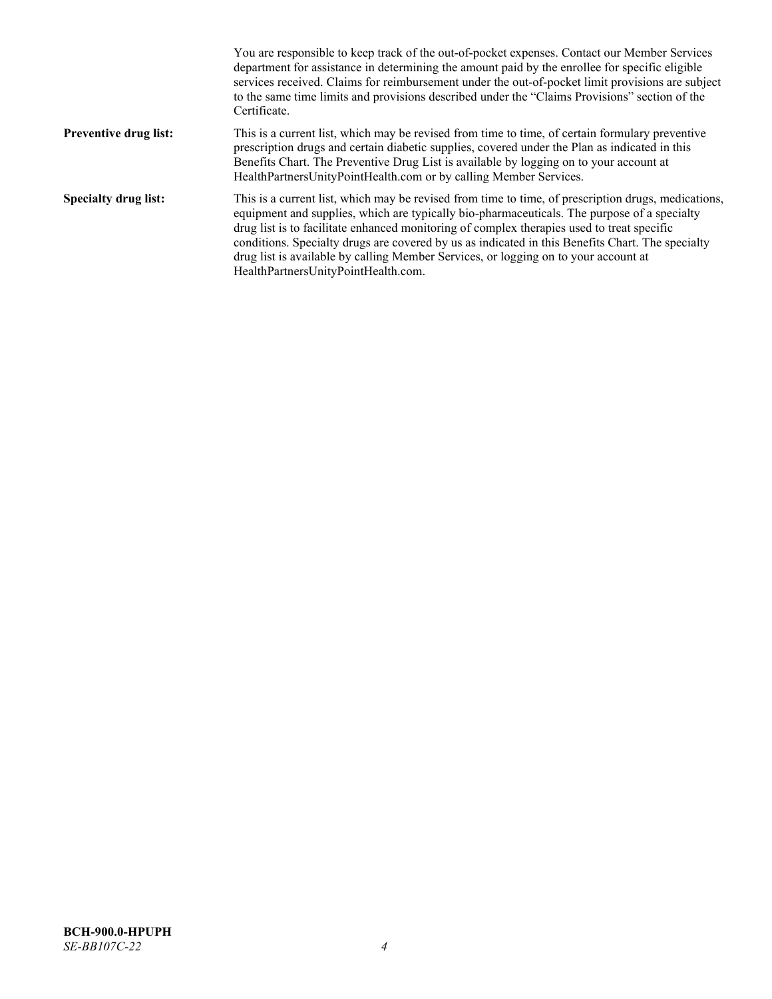|                              | You are responsible to keep track of the out-of-pocket expenses. Contact our Member Services<br>department for assistance in determining the amount paid by the enrollee for specific eligible<br>services received. Claims for reimbursement under the out-of-pocket limit provisions are subject<br>to the same time limits and provisions described under the "Claims Provisions" section of the<br>Certificate.                                                                                                                |
|------------------------------|------------------------------------------------------------------------------------------------------------------------------------------------------------------------------------------------------------------------------------------------------------------------------------------------------------------------------------------------------------------------------------------------------------------------------------------------------------------------------------------------------------------------------------|
| <b>Preventive drug list:</b> | This is a current list, which may be revised from time to time, of certain formulary preventive<br>prescription drugs and certain diabetic supplies, covered under the Plan as indicated in this<br>Benefits Chart. The Preventive Drug List is available by logging on to your account at<br>HealthPartnersUnityPointHealth.com or by calling Member Services.                                                                                                                                                                    |
| <b>Specialty drug list:</b>  | This is a current list, which may be revised from time to time, of prescription drugs, medications,<br>equipment and supplies, which are typically bio-pharmaceuticals. The purpose of a specialty<br>drug list is to facilitate enhanced monitoring of complex therapies used to treat specific<br>conditions. Specialty drugs are covered by us as indicated in this Benefits Chart. The specialty<br>drug list is available by calling Member Services, or logging on to your account at<br>HealthPartnersUnityPointHealth.com. |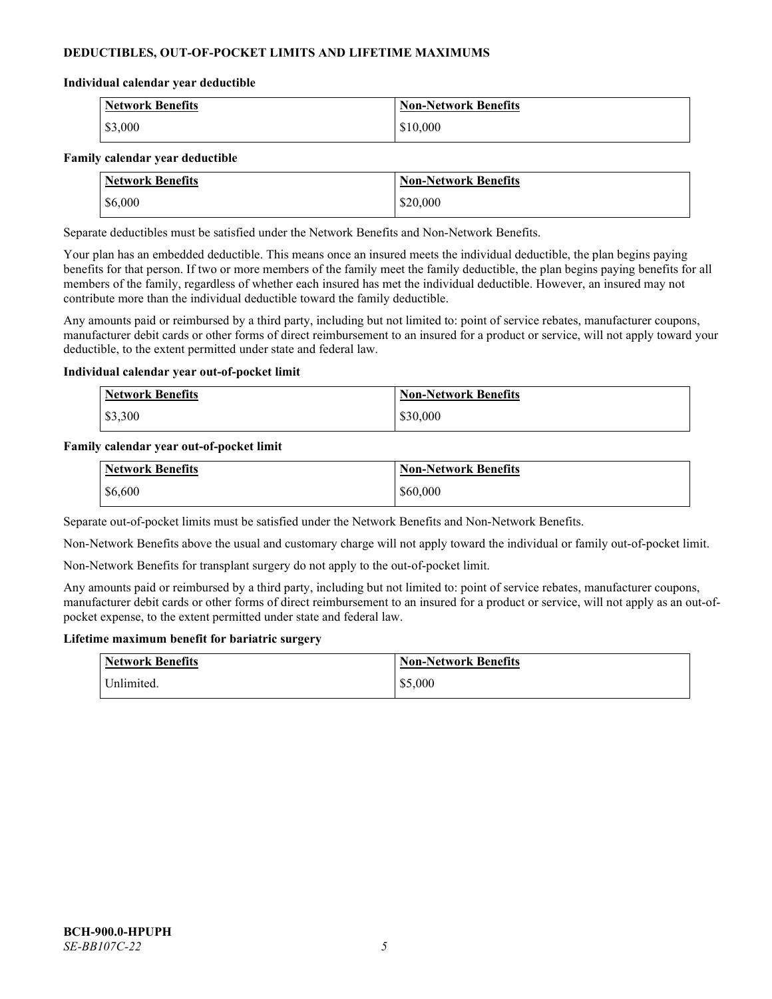# **DEDUCTIBLES, OUT-OF-POCKET LIMITS AND LIFETIME MAXIMUMS**

#### **Individual calendar year deductible**

| <b>Network Benefits</b> | <b>Non-Network Benefits</b> |
|-------------------------|-----------------------------|
| \$3,000                 | \$10,000                    |

#### **Family calendar year deductible**

| <b>Network Benefits</b> | <b>Non-Network Benefits</b> |
|-------------------------|-----------------------------|
| \$6,000                 | \$20,000                    |

Separate deductibles must be satisfied under the Network Benefits and Non-Network Benefits.

Your plan has an embedded deductible. This means once an insured meets the individual deductible, the plan begins paying benefits for that person. If two or more members of the family meet the family deductible, the plan begins paying benefits for all members of the family, regardless of whether each insured has met the individual deductible. However, an insured may not contribute more than the individual deductible toward the family deductible.

Any amounts paid or reimbursed by a third party, including but not limited to: point of service rebates, manufacturer coupons, manufacturer debit cards or other forms of direct reimbursement to an insured for a product or service, will not apply toward your deductible, to the extent permitted under state and federal law.

#### **Individual calendar year out-of-pocket limit**

| <b>Network Benefits</b> | <b>Non-Network Benefits</b> |
|-------------------------|-----------------------------|
| \$3,300                 | \$30,000                    |

#### **Family calendar year out-of-pocket limit**

| <b>Network Benefits</b> | Non-Network Benefits |
|-------------------------|----------------------|
| \$6,600                 | \$60,000             |

Separate out-of-pocket limits must be satisfied under the Network Benefits and Non-Network Benefits.

Non-Network Benefits above the usual and customary charge will not apply toward the individual or family out-of-pocket limit.

Non-Network Benefits for transplant surgery do not apply to the out-of-pocket limit.

Any amounts paid or reimbursed by a third party, including but not limited to: point of service rebates, manufacturer coupons, manufacturer debit cards or other forms of direct reimbursement to an insured for a product or service, will not apply as an out-ofpocket expense, to the extent permitted under state and federal law.

#### **Lifetime maximum benefit for bariatric surgery**

| <b>Network Benefits</b> | <b>Non-Network Benefits</b> |
|-------------------------|-----------------------------|
| <sup>I</sup> Inlimited. | \$5,000                     |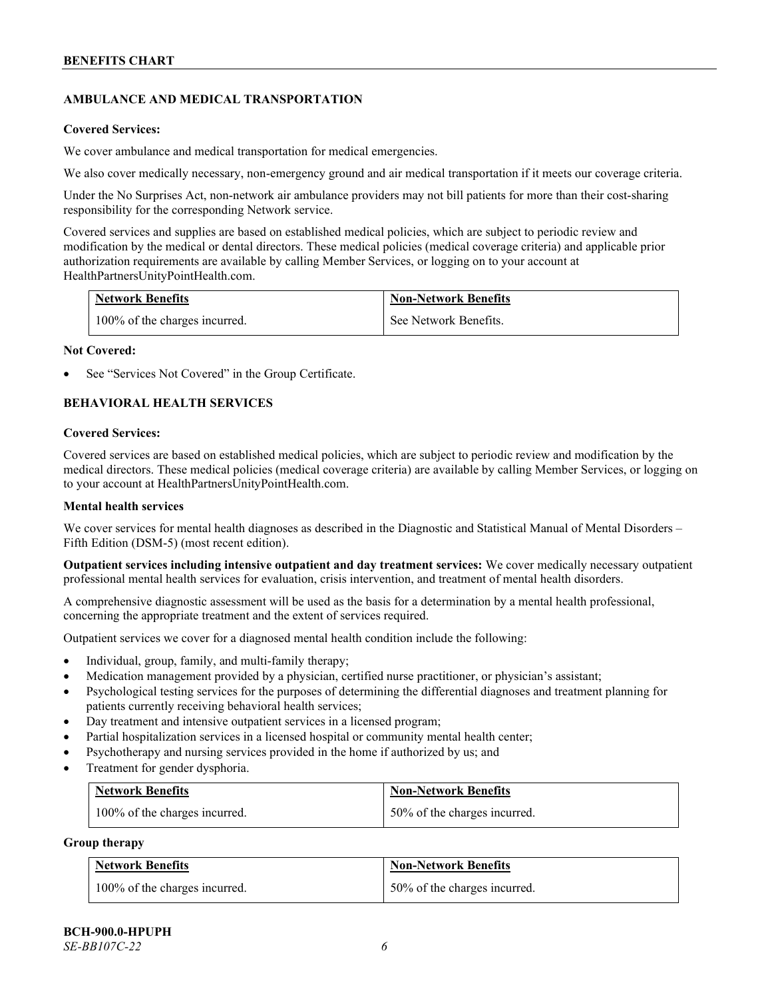# **AMBULANCE AND MEDICAL TRANSPORTATION**

#### **Covered Services:**

We cover ambulance and medical transportation for medical emergencies.

We also cover medically necessary, non-emergency ground and air medical transportation if it meets our coverage criteria.

Under the No Surprises Act, non-network air ambulance providers may not bill patients for more than their cost-sharing responsibility for the corresponding Network service.

Covered services and supplies are based on established medical policies, which are subject to periodic review and modification by the medical or dental directors. These medical policies (medical coverage criteria) and applicable prior authorization requirements are available by calling Member Services, or logging on to your account at [HealthPartnersUnityPointHealth.com.](https://www.healthpartnersunitypointhealth.com/)

| <b>Network Benefits</b>       | <b>Non-Network Benefits</b> |
|-------------------------------|-----------------------------|
| 100% of the charges incurred. | See Network Benefits.       |

#### **Not Covered:**

See "Services Not Covered" in the Group Certificate.

# **BEHAVIORAL HEALTH SERVICES**

#### **Covered Services:**

Covered services are based on established medical policies, which are subject to periodic review and modification by the medical directors. These medical policies (medical coverage criteria) are available by calling Member Services, or logging on to your account at [HealthPartnersUnityPointHealth.com.](https://www.healthpartnersunitypointhealth.com/)

### **Mental health services**

We cover services for mental health diagnoses as described in the Diagnostic and Statistical Manual of Mental Disorders – Fifth Edition (DSM-5) (most recent edition).

**Outpatient services including intensive outpatient and day treatment services:** We cover medically necessary outpatient professional mental health services for evaluation, crisis intervention, and treatment of mental health disorders.

A comprehensive diagnostic assessment will be used as the basis for a determination by a mental health professional, concerning the appropriate treatment and the extent of services required.

Outpatient services we cover for a diagnosed mental health condition include the following:

- Individual, group, family, and multi-family therapy;
- Medication management provided by a physician, certified nurse practitioner, or physician's assistant;
- Psychological testing services for the purposes of determining the differential diagnoses and treatment planning for patients currently receiving behavioral health services;
- Day treatment and intensive outpatient services in a licensed program;
- Partial hospitalization services in a licensed hospital or community mental health center;
- Psychotherapy and nursing services provided in the home if authorized by us; and
- Treatment for gender dysphoria.

| <b>Network Benefits</b>       | <b>Non-Network Benefits</b>  |
|-------------------------------|------------------------------|
| 100% of the charges incurred. | 50% of the charges incurred. |

#### **Group therapy**

| <b>Network Benefits</b>       | <b>Non-Network Benefits</b>  |
|-------------------------------|------------------------------|
| 100% of the charges incurred. | 50% of the charges incurred. |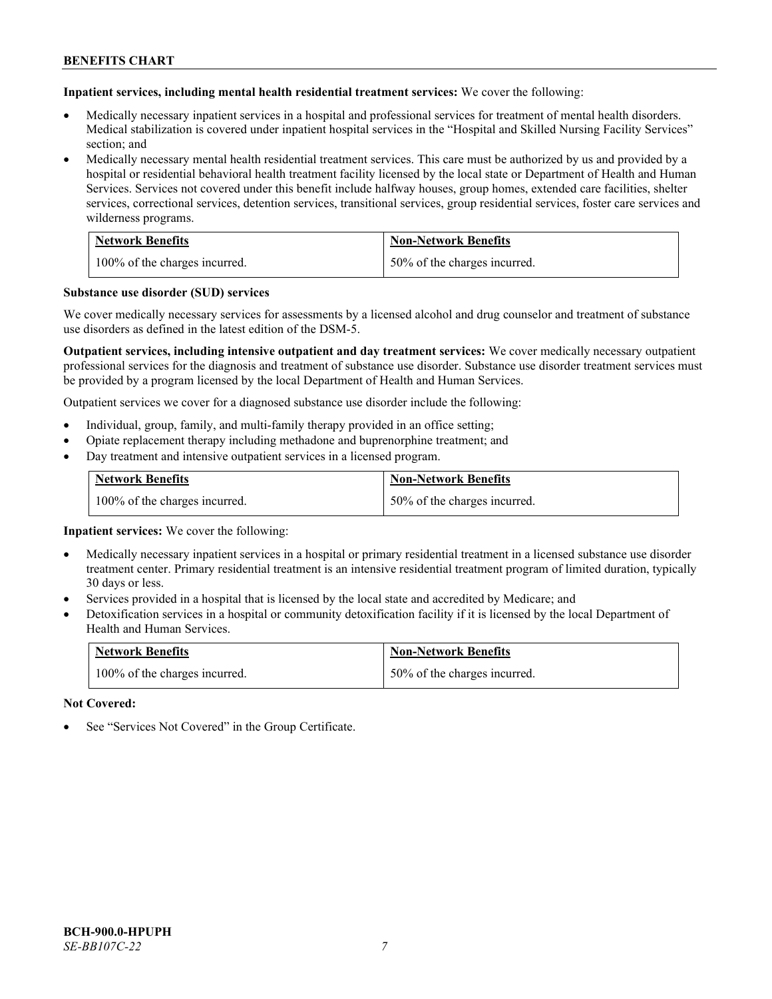**Inpatient services, including mental health residential treatment services:** We cover the following:

- Medically necessary inpatient services in a hospital and professional services for treatment of mental health disorders. Medical stabilization is covered under inpatient hospital services in the "Hospital and Skilled Nursing Facility Services" section; and
- Medically necessary mental health residential treatment services. This care must be authorized by us and provided by a hospital or residential behavioral health treatment facility licensed by the local state or Department of Health and Human Services. Services not covered under this benefit include halfway houses, group homes, extended care facilities, shelter services, correctional services, detention services, transitional services, group residential services, foster care services and wilderness programs.

| <b>Network Benefits</b>       | <b>Non-Network Benefits</b>  |
|-------------------------------|------------------------------|
| 100% of the charges incurred. | 50% of the charges incurred. |

#### **Substance use disorder (SUD) services**

We cover medically necessary services for assessments by a licensed alcohol and drug counselor and treatment of substance use disorders as defined in the latest edition of the DSM-5.

**Outpatient services, including intensive outpatient and day treatment services:** We cover medically necessary outpatient professional services for the diagnosis and treatment of substance use disorder. Substance use disorder treatment services must be provided by a program licensed by the local Department of Health and Human Services.

Outpatient services we cover for a diagnosed substance use disorder include the following:

- Individual, group, family, and multi-family therapy provided in an office setting;
- Opiate replacement therapy including methadone and buprenorphine treatment; and
- Day treatment and intensive outpatient services in a licensed program.

| <b>Network Benefits</b>       | <b>Non-Network Benefits</b>  |
|-------------------------------|------------------------------|
| 100% of the charges incurred. | 50% of the charges incurred. |

**Inpatient services:** We cover the following:

- Medically necessary inpatient services in a hospital or primary residential treatment in a licensed substance use disorder treatment center. Primary residential treatment is an intensive residential treatment program of limited duration, typically 30 days or less.
- Services provided in a hospital that is licensed by the local state and accredited by Medicare; and
- Detoxification services in a hospital or community detoxification facility if it is licensed by the local Department of Health and Human Services.

| <b>Network Benefits</b>       | <b>Non-Network Benefits</b>  |
|-------------------------------|------------------------------|
| 100% of the charges incurred. | 50% of the charges incurred. |

**Not Covered:**

See "Services Not Covered" in the Group Certificate.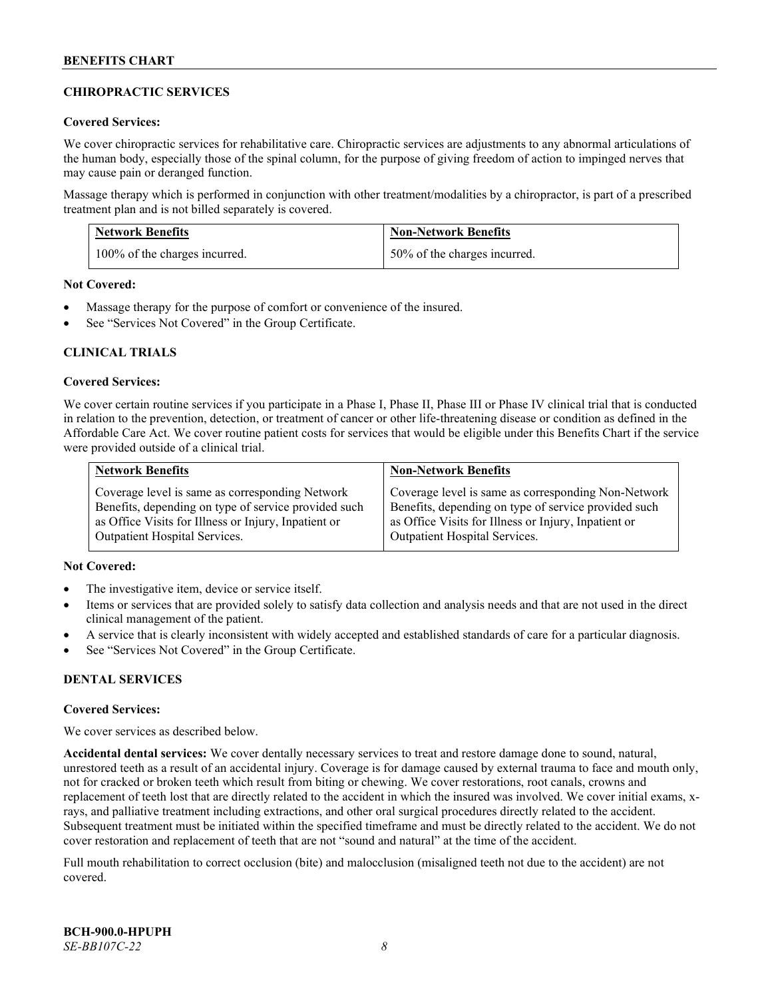# **CHIROPRACTIC SERVICES**

### **Covered Services:**

We cover chiropractic services for rehabilitative care. Chiropractic services are adjustments to any abnormal articulations of the human body, especially those of the spinal column, for the purpose of giving freedom of action to impinged nerves that may cause pain or deranged function.

Massage therapy which is performed in conjunction with other treatment/modalities by a chiropractor, is part of a prescribed treatment plan and is not billed separately is covered.

| <b>Network Benefits</b>       | <b>Non-Network Benefits</b>  |
|-------------------------------|------------------------------|
| 100% of the charges incurred. | 50% of the charges incurred. |

**Not Covered:**

- Massage therapy for the purpose of comfort or convenience of the insured.
- See "Services Not Covered" in the Group Certificate.

# **CLINICAL TRIALS**

#### **Covered Services:**

We cover certain routine services if you participate in a Phase I, Phase II, Phase III or Phase IV clinical trial that is conducted in relation to the prevention, detection, or treatment of cancer or other life-threatening disease or condition as defined in the Affordable Care Act. We cover routine patient costs for services that would be eligible under this Benefits Chart if the service were provided outside of a clinical trial.

| <b>Network Benefits</b>                              | <b>Non-Network Benefits</b>                          |
|------------------------------------------------------|------------------------------------------------------|
| Coverage level is same as corresponding Network      | Coverage level is same as corresponding Non-Network  |
| Benefits, depending on type of service provided such | Benefits, depending on type of service provided such |
| as Office Visits for Illness or Injury, Inpatient or | as Office Visits for Illness or Injury, Inpatient or |
| <b>Outpatient Hospital Services.</b>                 | <b>Outpatient Hospital Services.</b>                 |

# **Not Covered:**

- The investigative item, device or service itself.
- Items or services that are provided solely to satisfy data collection and analysis needs and that are not used in the direct clinical management of the patient.
- A service that is clearly inconsistent with widely accepted and established standards of care for a particular diagnosis.
- See "Services Not Covered" in the Group Certificate.

# **DENTAL SERVICES**

#### **Covered Services:**

We cover services as described below.

**Accidental dental services:** We cover dentally necessary services to treat and restore damage done to sound, natural, unrestored teeth as a result of an accidental injury. Coverage is for damage caused by external trauma to face and mouth only, not for cracked or broken teeth which result from biting or chewing. We cover restorations, root canals, crowns and replacement of teeth lost that are directly related to the accident in which the insured was involved. We cover initial exams, xrays, and palliative treatment including extractions, and other oral surgical procedures directly related to the accident. Subsequent treatment must be initiated within the specified timeframe and must be directly related to the accident. We do not cover restoration and replacement of teeth that are not "sound and natural" at the time of the accident.

Full mouth rehabilitation to correct occlusion (bite) and malocclusion (misaligned teeth not due to the accident) are not covered.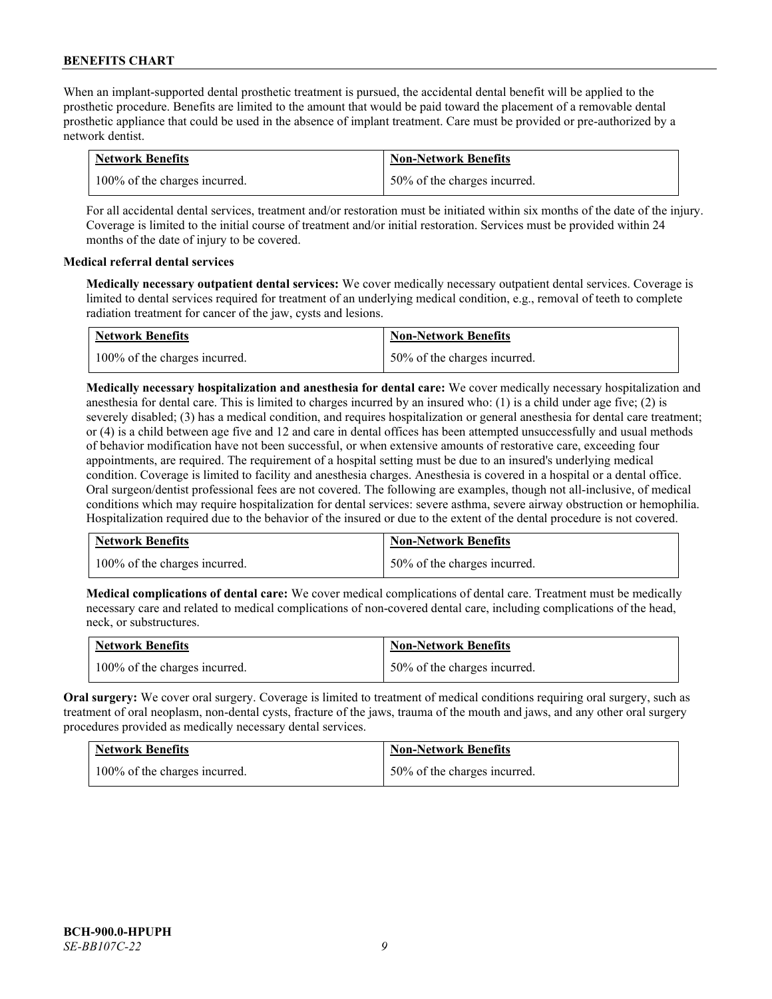When an implant-supported dental prosthetic treatment is pursued, the accidental dental benefit will be applied to the prosthetic procedure. Benefits are limited to the amount that would be paid toward the placement of a removable dental prosthetic appliance that could be used in the absence of implant treatment. Care must be provided or pre-authorized by a network dentist.

| <b>Network Benefits</b>       | <b>Non-Network Benefits</b>  |
|-------------------------------|------------------------------|
| 100% of the charges incurred. | 50% of the charges incurred. |

For all accidental dental services, treatment and/or restoration must be initiated within six months of the date of the injury. Coverage is limited to the initial course of treatment and/or initial restoration. Services must be provided within 24 months of the date of injury to be covered.

# **Medical referral dental services**

**Medically necessary outpatient dental services:** We cover medically necessary outpatient dental services. Coverage is limited to dental services required for treatment of an underlying medical condition, e.g., removal of teeth to complete radiation treatment for cancer of the jaw, cysts and lesions.

| <b>Network Benefits</b>       | <b>Non-Network Benefits</b>  |
|-------------------------------|------------------------------|
| 100% of the charges incurred. | 50% of the charges incurred. |

**Medically necessary hospitalization and anesthesia for dental care:** We cover medically necessary hospitalization and anesthesia for dental care. This is limited to charges incurred by an insured who: (1) is a child under age five; (2) is severely disabled; (3) has a medical condition, and requires hospitalization or general anesthesia for dental care treatment; or (4) is a child between age five and 12 and care in dental offices has been attempted unsuccessfully and usual methods of behavior modification have not been successful, or when extensive amounts of restorative care, exceeding four appointments, are required. The requirement of a hospital setting must be due to an insured's underlying medical condition. Coverage is limited to facility and anesthesia charges. Anesthesia is covered in a hospital or a dental office. Oral surgeon/dentist professional fees are not covered. The following are examples, though not all-inclusive, of medical conditions which may require hospitalization for dental services: severe asthma, severe airway obstruction or hemophilia. Hospitalization required due to the behavior of the insured or due to the extent of the dental procedure is not covered.

| <b>Network Benefits</b>       | <b>Non-Network Benefits</b>  |
|-------------------------------|------------------------------|
| 100% of the charges incurred. | 50% of the charges incurred. |

**Medical complications of dental care:** We cover medical complications of dental care. Treatment must be medically necessary care and related to medical complications of non-covered dental care, including complications of the head, neck, or substructures.

| <b>Network Benefits</b>       | <b>Non-Network Benefits</b>  |
|-------------------------------|------------------------------|
| 100% of the charges incurred. | 50% of the charges incurred. |

**Oral surgery:** We cover oral surgery. Coverage is limited to treatment of medical conditions requiring oral surgery, such as treatment of oral neoplasm, non-dental cysts, fracture of the jaws, trauma of the mouth and jaws, and any other oral surgery procedures provided as medically necessary dental services.

| <b>Network Benefits</b>       | <b>Non-Network Benefits</b>  |
|-------------------------------|------------------------------|
| 100% of the charges incurred. | 50% of the charges incurred. |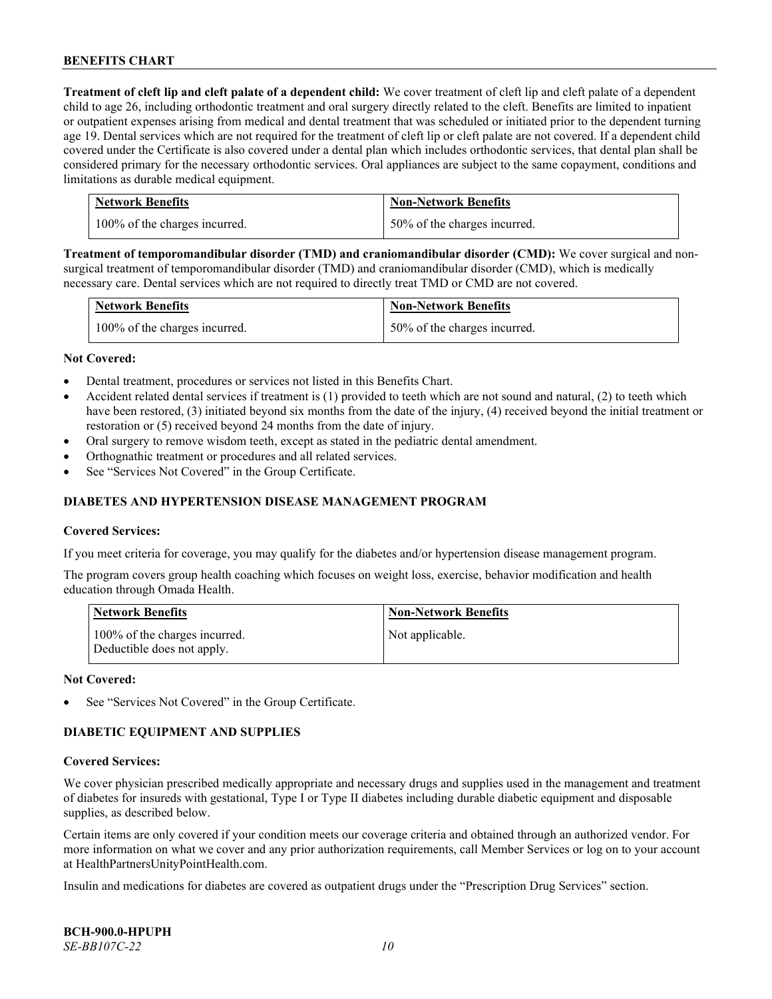**Treatment of cleft lip and cleft palate of a dependent child:** We cover treatment of cleft lip and cleft palate of a dependent child to age 26, including orthodontic treatment and oral surgery directly related to the cleft. Benefits are limited to inpatient or outpatient expenses arising from medical and dental treatment that was scheduled or initiated prior to the dependent turning age 19. Dental services which are not required for the treatment of cleft lip or cleft palate are not covered. If a dependent child covered under the Certificate is also covered under a dental plan which includes orthodontic services, that dental plan shall be considered primary for the necessary orthodontic services. Oral appliances are subject to the same copayment, conditions and limitations as durable medical equipment.

| <b>Network Benefits</b>       | <b>Non-Network Benefits</b>  |
|-------------------------------|------------------------------|
| 100% of the charges incurred. | 50% of the charges incurred. |

**Treatment of temporomandibular disorder (TMD) and craniomandibular disorder (CMD):** We cover surgical and nonsurgical treatment of temporomandibular disorder (TMD) and craniomandibular disorder (CMD), which is medically necessary care. Dental services which are not required to directly treat TMD or CMD are not covered.

| <b>Network Benefits</b>       | <b>Non-Network Benefits</b>  |
|-------------------------------|------------------------------|
| 100% of the charges incurred. | 50% of the charges incurred. |

#### **Not Covered:**

- Dental treatment, procedures or services not listed in this Benefits Chart.
- Accident related dental services if treatment is (1) provided to teeth which are not sound and natural, (2) to teeth which have been restored, (3) initiated beyond six months from the date of the injury, (4) received beyond the initial treatment or restoration or (5) received beyond 24 months from the date of injury.
- Oral surgery to remove wisdom teeth, except as stated in the pediatric dental amendment.
- Orthognathic treatment or procedures and all related services.
- See "Services Not Covered" in the Group Certificate.

### **DIABETES AND HYPERTENSION DISEASE MANAGEMENT PROGRAM**

#### **Covered Services:**

If you meet criteria for coverage, you may qualify for the diabetes and/or hypertension disease management program.

The program covers group health coaching which focuses on weight loss, exercise, behavior modification and health education through Omada Health.

| <b>Network Benefits</b>                                     | <b>Non-Network Benefits</b> |
|-------------------------------------------------------------|-----------------------------|
| 100% of the charges incurred.<br>Deductible does not apply. | Not applicable.             |

#### **Not Covered:**

See "Services Not Covered" in the Group Certificate.

# **DIABETIC EQUIPMENT AND SUPPLIES**

#### **Covered Services:**

We cover physician prescribed medically appropriate and necessary drugs and supplies used in the management and treatment of diabetes for insureds with gestational, Type I or Type II diabetes including durable diabetic equipment and disposable supplies, as described below.

Certain items are only covered if your condition meets our coverage criteria and obtained through an authorized vendor. For more information on what we cover and any prior authorization requirements, call Member Services or log on to your account at [HealthPartnersUnityPointHealth.com.](https://www.healthpartnersunitypointhealth.com/)

Insulin and medications for diabetes are covered as outpatient drugs under the "Prescription Drug Services" section.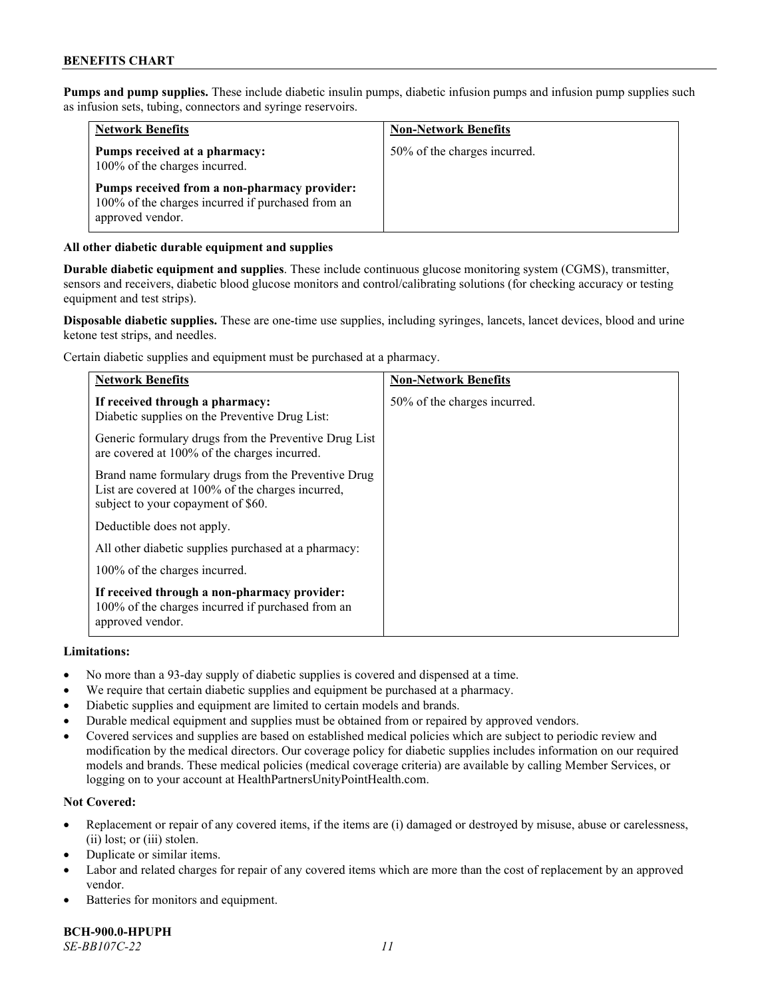**Pumps and pump supplies.** These include diabetic insulin pumps, diabetic infusion pumps and infusion pump supplies such as infusion sets, tubing, connectors and syringe reservoirs.

| <b>Network Benefits</b>                                                                                               | <b>Non-Network Benefits</b>  |
|-----------------------------------------------------------------------------------------------------------------------|------------------------------|
| Pumps received at a pharmacy:<br>100% of the charges incurred.                                                        | 50% of the charges incurred. |
| Pumps received from a non-pharmacy provider:<br>100% of the charges incurred if purchased from an<br>approved vendor. |                              |

# **All other diabetic durable equipment and supplies**

**Durable diabetic equipment and supplies**. These include continuous glucose monitoring system (CGMS), transmitter, sensors and receivers, diabetic blood glucose monitors and control/calibrating solutions (for checking accuracy or testing equipment and test strips).

**Disposable diabetic supplies.** These are one-time use supplies, including syringes, lancets, lancet devices, blood and urine ketone test strips, and needles.

Certain diabetic supplies and equipment must be purchased at a pharmacy.

| <b>Network Benefits</b>                                                                                                                        | <b>Non-Network Benefits</b>  |
|------------------------------------------------------------------------------------------------------------------------------------------------|------------------------------|
| If received through a pharmacy:<br>Diabetic supplies on the Preventive Drug List:                                                              | 50% of the charges incurred. |
| Generic formulary drugs from the Preventive Drug List<br>are covered at 100% of the charges incurred.                                          |                              |
| Brand name formulary drugs from the Preventive Drug<br>List are covered at 100% of the charges incurred,<br>subject to your copayment of \$60. |                              |
| Deductible does not apply.                                                                                                                     |                              |
| All other diabetic supplies purchased at a pharmacy:                                                                                           |                              |
| 100% of the charges incurred.                                                                                                                  |                              |
| If received through a non-pharmacy provider:<br>100% of the charges incurred if purchased from an<br>approved vendor.                          |                              |

#### **Limitations:**

- No more than a 93-day supply of diabetic supplies is covered and dispensed at a time.
- We require that certain diabetic supplies and equipment be purchased at a pharmacy.
- Diabetic supplies and equipment are limited to certain models and brands.
- Durable medical equipment and supplies must be obtained from or repaired by approved vendors.
- Covered services and supplies are based on established medical policies which are subject to periodic review and modification by the medical directors. Our coverage policy for diabetic supplies includes information on our required models and brands. These medical policies (medical coverage criteria) are available by calling Member Services, or logging on to your account a[t HealthPartnersUnityPointHealth.com.](https://www.healthpartnersunitypointhealth.com/)

# **Not Covered:**

- Replacement or repair of any covered items, if the items are (i) damaged or destroyed by misuse, abuse or carelessness, (ii) lost; or (iii) stolen.
- Duplicate or similar items.
- Labor and related charges for repair of any covered items which are more than the cost of replacement by an approved vendor.
- Batteries for monitors and equipment.

**BCH-900.0-HPUPH** *SE-BB107C-22 11*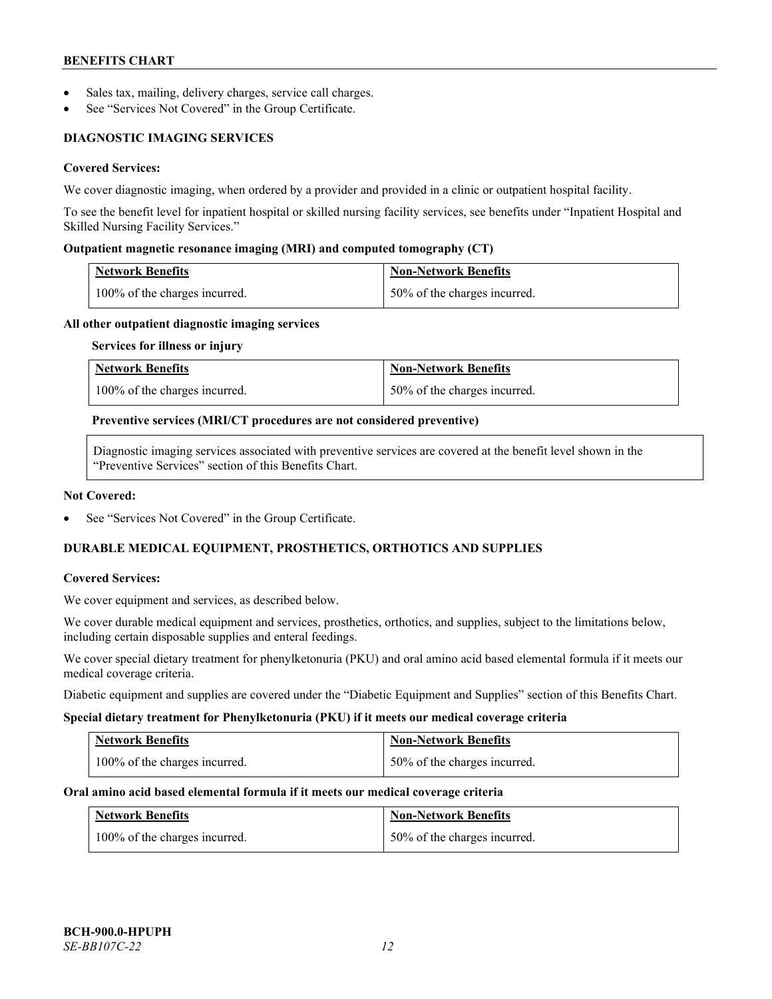- Sales tax, mailing, delivery charges, service call charges.
- See "Services Not Covered" in the Group Certificate.

# **DIAGNOSTIC IMAGING SERVICES**

# **Covered Services:**

We cover diagnostic imaging, when ordered by a provider and provided in a clinic or outpatient hospital facility.

To see the benefit level for inpatient hospital or skilled nursing facility services, see benefits under "Inpatient Hospital and Skilled Nursing Facility Services."

### **Outpatient magnetic resonance imaging (MRI) and computed tomography (CT)**

| Network Benefits                           | Non-Network Benefits         |
|--------------------------------------------|------------------------------|
| $\frac{100\%}{6}$ of the charges incurred. | 50% of the charges incurred. |

#### **All other outpatient diagnostic imaging services**

#### **Services for illness or injury**

| <b>Network Benefits</b>       | <b>Non-Network Benefits</b>  |
|-------------------------------|------------------------------|
| 100% of the charges incurred. | 50% of the charges incurred. |

#### **Preventive services (MRI/CT procedures are not considered preventive)**

Diagnostic imaging services associated with preventive services are covered at the benefit level shown in the "Preventive Services" section of this Benefits Chart.

#### **Not Covered:**

See "Services Not Covered" in the Group Certificate.

# **DURABLE MEDICAL EQUIPMENT, PROSTHETICS, ORTHOTICS AND SUPPLIES**

#### **Covered Services:**

We cover equipment and services, as described below.

We cover durable medical equipment and services, prosthetics, orthotics, and supplies, subject to the limitations below, including certain disposable supplies and enteral feedings.

We cover special dietary treatment for phenylketonuria (PKU) and oral amino acid based elemental formula if it meets our medical coverage criteria.

Diabetic equipment and supplies are covered under the "Diabetic Equipment and Supplies" section of this Benefits Chart.

#### **Special dietary treatment for Phenylketonuria (PKU) if it meets our medical coverage criteria**

| <b>Network Benefits</b>       | Non-Network Benefits           |
|-------------------------------|--------------------------------|
| 100% of the charges incurred. | 1 50% of the charges incurred. |

#### **Oral amino acid based elemental formula if it meets our medical coverage criteria**

| <b>Network Benefits</b>       | <b>Non-Network Benefits</b>  |
|-------------------------------|------------------------------|
| 100% of the charges incurred. | 50% of the charges incurred. |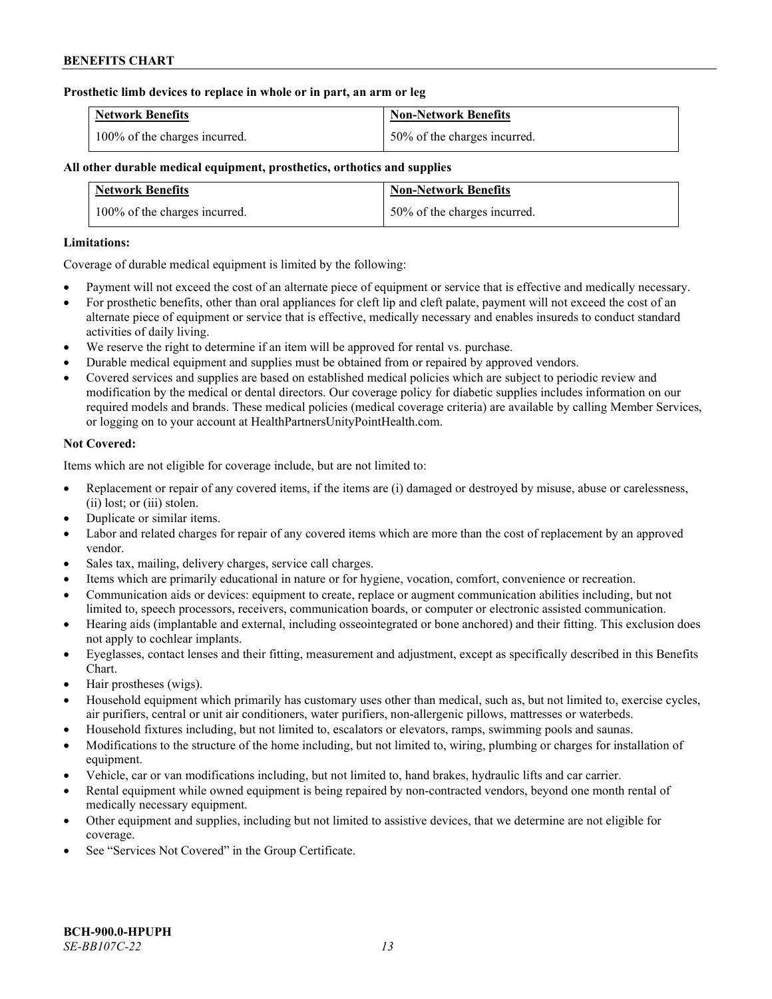### **Prosthetic limb devices to replace in whole or in part, an arm or leg**

| <b>Network Benefits</b>       | <b>Non-Network Benefits</b>  |
|-------------------------------|------------------------------|
| 100% of the charges incurred. | 50% of the charges incurred. |

# **All other durable medical equipment, prosthetics, orthotics and supplies**

| <b>Network Benefits</b>       | <b>Non-Network Benefits</b>  |
|-------------------------------|------------------------------|
| 100% of the charges incurred. | 50% of the charges incurred. |

### **Limitations:**

Coverage of durable medical equipment is limited by the following:

- Payment will not exceed the cost of an alternate piece of equipment or service that is effective and medically necessary.
- For prosthetic benefits, other than oral appliances for cleft lip and cleft palate, payment will not exceed the cost of an alternate piece of equipment or service that is effective, medically necessary and enables insureds to conduct standard activities of daily living.
- We reserve the right to determine if an item will be approved for rental vs. purchase.
- Durable medical equipment and supplies must be obtained from or repaired by approved vendors.
- Covered services and supplies are based on established medical policies which are subject to periodic review and modification by the medical or dental directors. Our coverage policy for diabetic supplies includes information on our required models and brands. These medical policies (medical coverage criteria) are available by calling Member Services, or logging on to your account at [HealthPartnersUnityPointHealth.com.](https://www.healthpartnersunitypointhealth.com/)

# **Not Covered:**

Items which are not eligible for coverage include, but are not limited to:

- Replacement or repair of any covered items, if the items are (i) damaged or destroyed by misuse, abuse or carelessness, (ii) lost; or (iii) stolen.
- Duplicate or similar items.
- Labor and related charges for repair of any covered items which are more than the cost of replacement by an approved vendor.
- Sales tax, mailing, delivery charges, service call charges.
- Items which are primarily educational in nature or for hygiene, vocation, comfort, convenience or recreation.
- Communication aids or devices: equipment to create, replace or augment communication abilities including, but not limited to, speech processors, receivers, communication boards, or computer or electronic assisted communication.
- Hearing aids (implantable and external, including osseointegrated or bone anchored) and their fitting. This exclusion does not apply to cochlear implants.
- Eyeglasses, contact lenses and their fitting, measurement and adjustment, except as specifically described in this Benefits Chart.
- Hair prostheses (wigs).
- Household equipment which primarily has customary uses other than medical, such as, but not limited to, exercise cycles, air purifiers, central or unit air conditioners, water purifiers, non-allergenic pillows, mattresses or waterbeds.
- Household fixtures including, but not limited to, escalators or elevators, ramps, swimming pools and saunas.
- Modifications to the structure of the home including, but not limited to, wiring, plumbing or charges for installation of equipment.
- Vehicle, car or van modifications including, but not limited to, hand brakes, hydraulic lifts and car carrier.
- Rental equipment while owned equipment is being repaired by non-contracted vendors, beyond one month rental of medically necessary equipment.
- Other equipment and supplies, including but not limited to assistive devices, that we determine are not eligible for coverage.
- See "Services Not Covered" in the Group Certificate.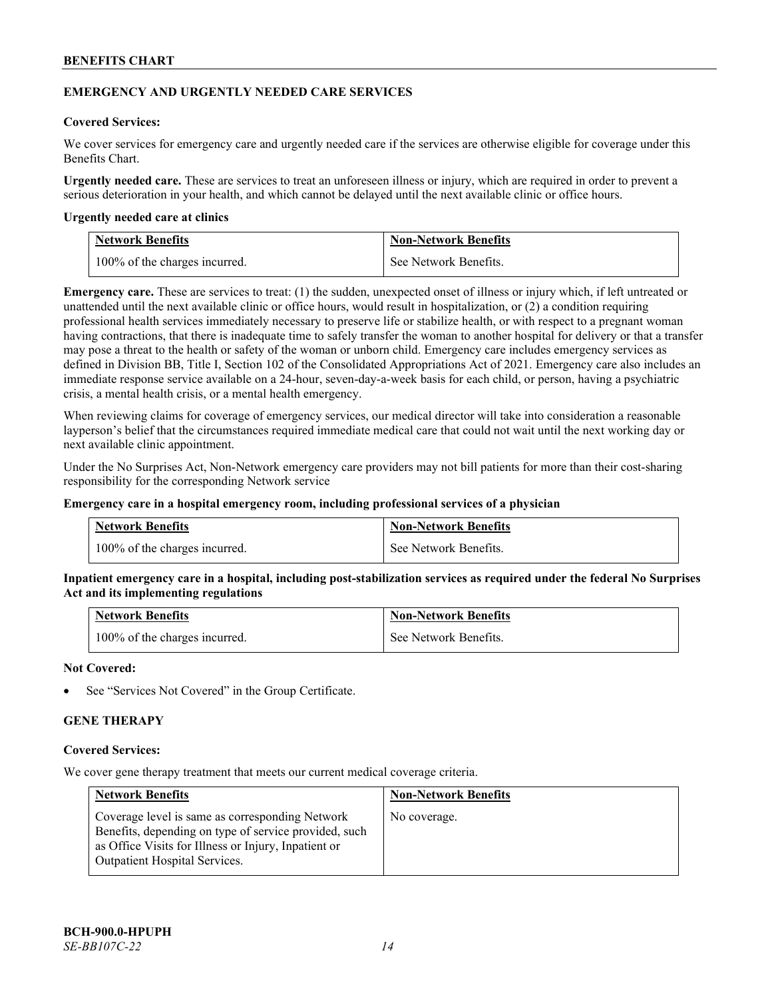### **EMERGENCY AND URGENTLY NEEDED CARE SERVICES**

### **Covered Services:**

We cover services for emergency care and urgently needed care if the services are otherwise eligible for coverage under this Benefits Chart.

**Urgently needed care.** These are services to treat an unforeseen illness or injury, which are required in order to prevent a serious deterioration in your health, and which cannot be delayed until the next available clinic or office hours.

#### **Urgently needed care at clinics**

| <b>Network Benefits</b>       | <b>Non-Network Benefits</b> |
|-------------------------------|-----------------------------|
| 100% of the charges incurred. | See Network Benefits.       |

**Emergency care.** These are services to treat: (1) the sudden, unexpected onset of illness or injury which, if left untreated or unattended until the next available clinic or office hours, would result in hospitalization, or (2) a condition requiring professional health services immediately necessary to preserve life or stabilize health, or with respect to a pregnant woman having contractions, that there is inadequate time to safely transfer the woman to another hospital for delivery or that a transfer may pose a threat to the health or safety of the woman or unborn child. Emergency care includes emergency services as defined in Division BB, Title I, Section 102 of the Consolidated Appropriations Act of 2021. Emergency care also includes an immediate response service available on a 24-hour, seven-day-a-week basis for each child, or person, having a psychiatric crisis, a mental health crisis, or a mental health emergency.

When reviewing claims for coverage of emergency services, our medical director will take into consideration a reasonable layperson's belief that the circumstances required immediate medical care that could not wait until the next working day or next available clinic appointment.

Under the No Surprises Act, Non-Network emergency care providers may not bill patients for more than their cost-sharing responsibility for the corresponding Network service

#### **Emergency care in a hospital emergency room, including professional services of a physician**

| <b>Network Benefits</b>       | <b>Non-Network Benefits</b> |
|-------------------------------|-----------------------------|
| 100% of the charges incurred. | See Network Benefits.       |

**Inpatient emergency care in a hospital, including post-stabilization services as required under the federal No Surprises Act and its implementing regulations**

| <b>Network Benefits</b>       | <b>Non-Network Benefits</b> |
|-------------------------------|-----------------------------|
| 100% of the charges incurred. | See Network Benefits.       |

### **Not Covered:**

See "Services Not Covered" in the Group Certificate.

# **GENE THERAPY**

#### **Covered Services:**

We cover gene therapy treatment that meets our current medical coverage criteria.

| <b>Network Benefits</b>                                                                                                                                                                                  | <b>Non-Network Benefits</b> |
|----------------------------------------------------------------------------------------------------------------------------------------------------------------------------------------------------------|-----------------------------|
| Coverage level is same as corresponding Network<br>Benefits, depending on type of service provided, such<br>as Office Visits for Illness or Injury, Inpatient or<br><b>Outpatient Hospital Services.</b> | No coverage.                |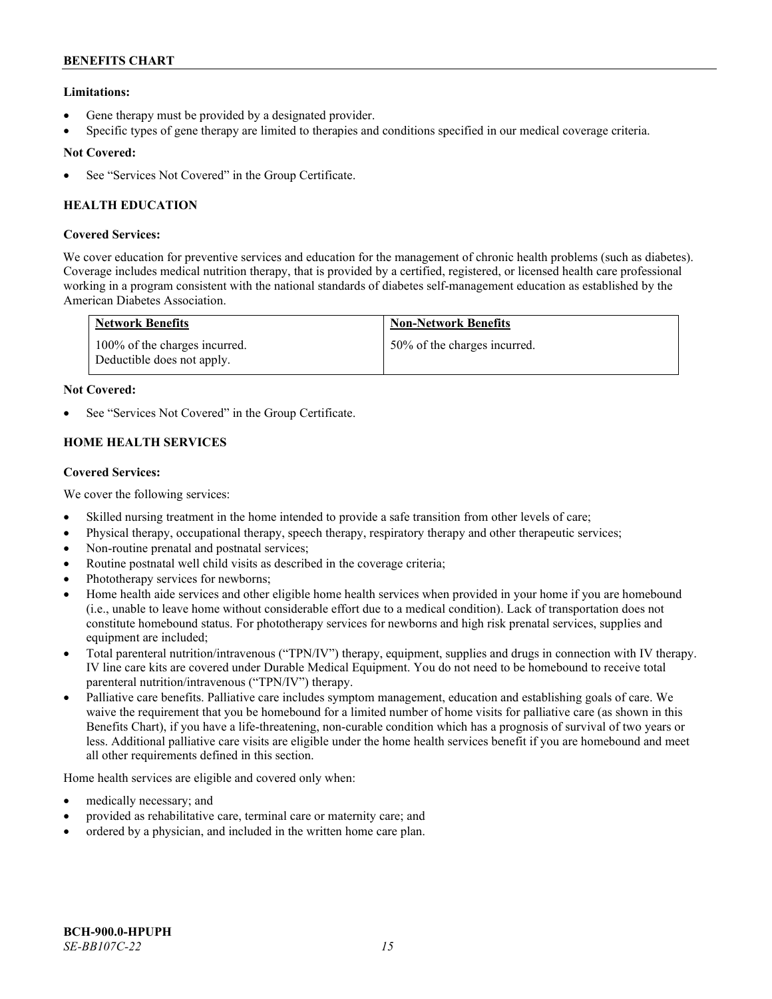# **Limitations:**

- Gene therapy must be provided by a designated provider.
- Specific types of gene therapy are limited to therapies and conditions specified in our medical coverage criteria.

# **Not Covered:**

See "Services Not Covered" in the Group Certificate.

# **HEALTH EDUCATION**

# **Covered Services:**

We cover education for preventive services and education for the management of chronic health problems (such as diabetes). Coverage includes medical nutrition therapy, that is provided by a certified, registered, or licensed health care professional working in a program consistent with the national standards of diabetes self-management education as established by the American Diabetes Association.

| <b>Network Benefits</b>                                     | <b>Non-Network Benefits</b>  |
|-------------------------------------------------------------|------------------------------|
| 100% of the charges incurred.<br>Deductible does not apply. | 50% of the charges incurred. |

# **Not Covered:**

See "Services Not Covered" in the Group Certificate.

# **HOME HEALTH SERVICES**

# **Covered Services:**

We cover the following services:

- Skilled nursing treatment in the home intended to provide a safe transition from other levels of care;
- Physical therapy, occupational therapy, speech therapy, respiratory therapy and other therapeutic services;
- Non-routine prenatal and postnatal services;
- Routine postnatal well child visits as described in the coverage criteria;
- Phototherapy services for newborns;
- Home health aide services and other eligible home health services when provided in your home if you are homebound (i.e., unable to leave home without considerable effort due to a medical condition). Lack of transportation does not constitute homebound status. For phototherapy services for newborns and high risk prenatal services, supplies and equipment are included;
- Total parenteral nutrition/intravenous ("TPN/IV") therapy, equipment, supplies and drugs in connection with IV therapy. IV line care kits are covered under Durable Medical Equipment. You do not need to be homebound to receive total parenteral nutrition/intravenous ("TPN/IV") therapy.
- Palliative care benefits. Palliative care includes symptom management, education and establishing goals of care. We waive the requirement that you be homebound for a limited number of home visits for palliative care (as shown in this Benefits Chart), if you have a life-threatening, non-curable condition which has a prognosis of survival of two years or less. Additional palliative care visits are eligible under the home health services benefit if you are homebound and meet all other requirements defined in this section.

Home health services are eligible and covered only when:

- medically necessary; and
- provided as rehabilitative care, terminal care or maternity care; and
- ordered by a physician, and included in the written home care plan.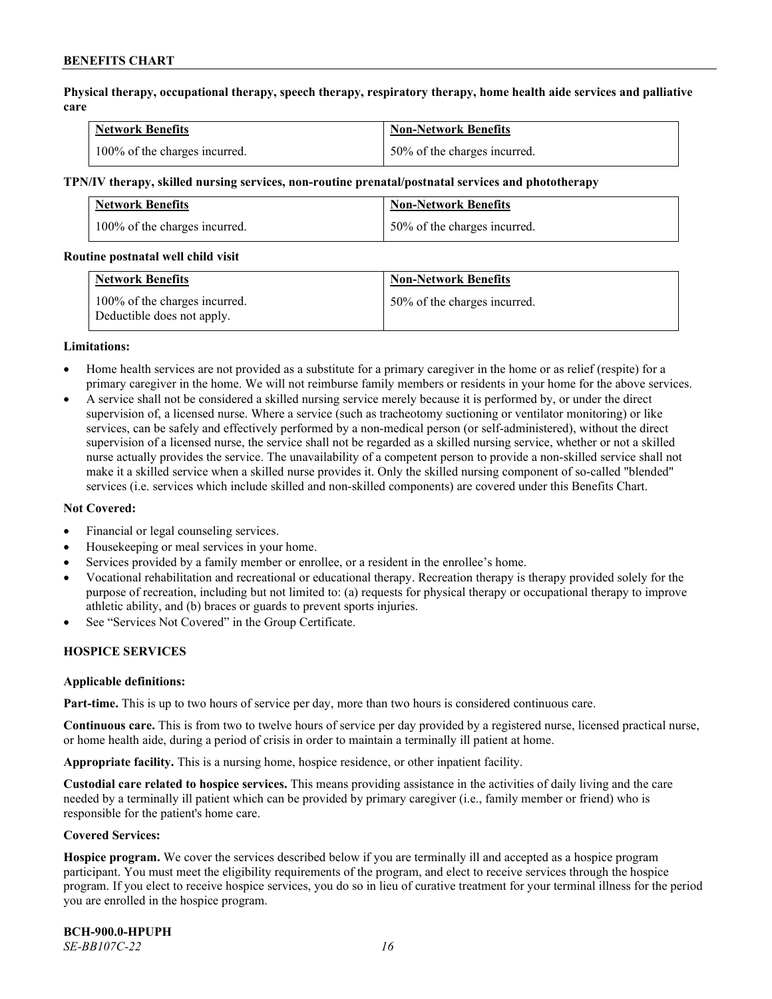**Physical therapy, occupational therapy, speech therapy, respiratory therapy, home health aide services and palliative care**

| <b>Network Benefits</b>       | <b>Non-Network Benefits</b>      |
|-------------------------------|----------------------------------|
| 100% of the charges incurred. | $150\%$ of the charges incurred. |

#### **TPN/IV therapy, skilled nursing services, non-routine prenatal/postnatal services and phototherapy**

| Network Benefits              | <b>Non-Network Benefits</b>  |
|-------------------------------|------------------------------|
| 100% of the charges incurred. | 50% of the charges incurred. |

#### **Routine postnatal well child visit**

| <b>Network Benefits</b>                                     | <b>Non-Network Benefits</b>  |
|-------------------------------------------------------------|------------------------------|
| 100% of the charges incurred.<br>Deductible does not apply. | 50% of the charges incurred. |

#### **Limitations:**

- Home health services are not provided as a substitute for a primary caregiver in the home or as relief (respite) for a primary caregiver in the home. We will not reimburse family members or residents in your home for the above services.
- A service shall not be considered a skilled nursing service merely because it is performed by, or under the direct supervision of, a licensed nurse. Where a service (such as tracheotomy suctioning or ventilator monitoring) or like services, can be safely and effectively performed by a non-medical person (or self-administered), without the direct supervision of a licensed nurse, the service shall not be regarded as a skilled nursing service, whether or not a skilled nurse actually provides the service. The unavailability of a competent person to provide a non-skilled service shall not make it a skilled service when a skilled nurse provides it. Only the skilled nursing component of so-called "blended" services (i.e. services which include skilled and non-skilled components) are covered under this Benefits Chart.

#### **Not Covered:**

- Financial or legal counseling services.
- Housekeeping or meal services in your home.
- Services provided by a family member or enrollee, or a resident in the enrollee's home.
- Vocational rehabilitation and recreational or educational therapy. Recreation therapy is therapy provided solely for the purpose of recreation, including but not limited to: (a) requests for physical therapy or occupational therapy to improve athletic ability, and (b) braces or guards to prevent sports injuries.
- See "Services Not Covered" in the Group Certificate.

# **HOSPICE SERVICES**

#### **Applicable definitions:**

**Part-time.** This is up to two hours of service per day, more than two hours is considered continuous care.

**Continuous care.** This is from two to twelve hours of service per day provided by a registered nurse, licensed practical nurse, or home health aide, during a period of crisis in order to maintain a terminally ill patient at home.

**Appropriate facility.** This is a nursing home, hospice residence, or other inpatient facility.

**Custodial care related to hospice services.** This means providing assistance in the activities of daily living and the care needed by a terminally ill patient which can be provided by primary caregiver (i.e., family member or friend) who is responsible for the patient's home care.

#### **Covered Services:**

**Hospice program.** We cover the services described below if you are terminally ill and accepted as a hospice program participant. You must meet the eligibility requirements of the program, and elect to receive services through the hospice program. If you elect to receive hospice services, you do so in lieu of curative treatment for your terminal illness for the period you are enrolled in the hospice program.

**BCH-900.0-HPUPH** *SE-BB107C-22 16*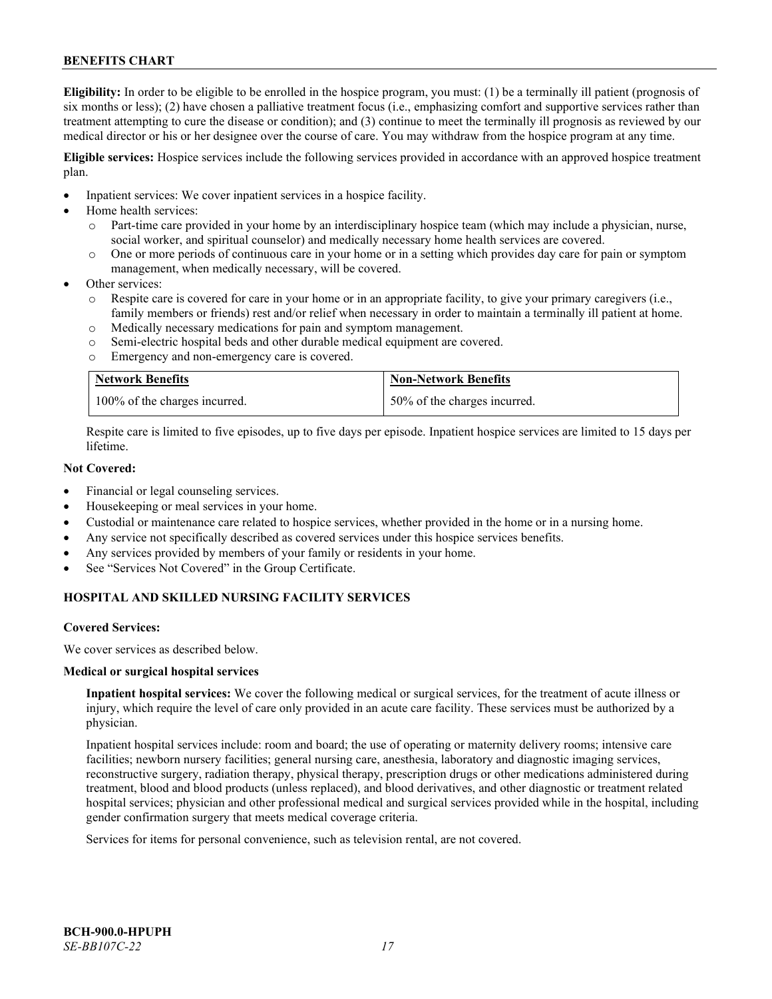**Eligibility:** In order to be eligible to be enrolled in the hospice program, you must: (1) be a terminally ill patient (prognosis of six months or less); (2) have chosen a palliative treatment focus (i.e., emphasizing comfort and supportive services rather than treatment attempting to cure the disease or condition); and (3) continue to meet the terminally ill prognosis as reviewed by our medical director or his or her designee over the course of care. You may withdraw from the hospice program at any time.

**Eligible services:** Hospice services include the following services provided in accordance with an approved hospice treatment plan.

- Inpatient services: We cover inpatient services in a hospice facility.
- Home health services:
	- o Part-time care provided in your home by an interdisciplinary hospice team (which may include a physician, nurse, social worker, and spiritual counselor) and medically necessary home health services are covered.
	- o One or more periods of continuous care in your home or in a setting which provides day care for pain or symptom management, when medically necessary, will be covered.
- Other services:
	- Respite care is covered for care in your home or in an appropriate facility, to give your primary caregivers (i.e., family members or friends) rest and/or relief when necessary in order to maintain a terminally ill patient at home.
	- o Medically necessary medications for pain and symptom management.
	- o Semi-electric hospital beds and other durable medical equipment are covered.
	- o Emergency and non-emergency care is covered.

| <b>Network Benefits</b>       | <b>Non-Network Benefits</b>  |
|-------------------------------|------------------------------|
| 100% of the charges incurred. | 50% of the charges incurred. |

Respite care is limited to five episodes, up to five days per episode. Inpatient hospice services are limited to 15 days per lifetime.

# **Not Covered:**

- Financial or legal counseling services.
- Housekeeping or meal services in your home.
- Custodial or maintenance care related to hospice services, whether provided in the home or in a nursing home.
- Any service not specifically described as covered services under this hospice services benefits.
- Any services provided by members of your family or residents in your home.
- See "Services Not Covered" in the Group Certificate.

# **HOSPITAL AND SKILLED NURSING FACILITY SERVICES**

#### **Covered Services:**

We cover services as described below.

#### **Medical or surgical hospital services**

**Inpatient hospital services:** We cover the following medical or surgical services, for the treatment of acute illness or injury, which require the level of care only provided in an acute care facility. These services must be authorized by a physician.

Inpatient hospital services include: room and board; the use of operating or maternity delivery rooms; intensive care facilities; newborn nursery facilities; general nursing care, anesthesia, laboratory and diagnostic imaging services, reconstructive surgery, radiation therapy, physical therapy, prescription drugs or other medications administered during treatment, blood and blood products (unless replaced), and blood derivatives, and other diagnostic or treatment related hospital services; physician and other professional medical and surgical services provided while in the hospital, including gender confirmation surgery that meets medical coverage criteria.

Services for items for personal convenience, such as television rental, are not covered.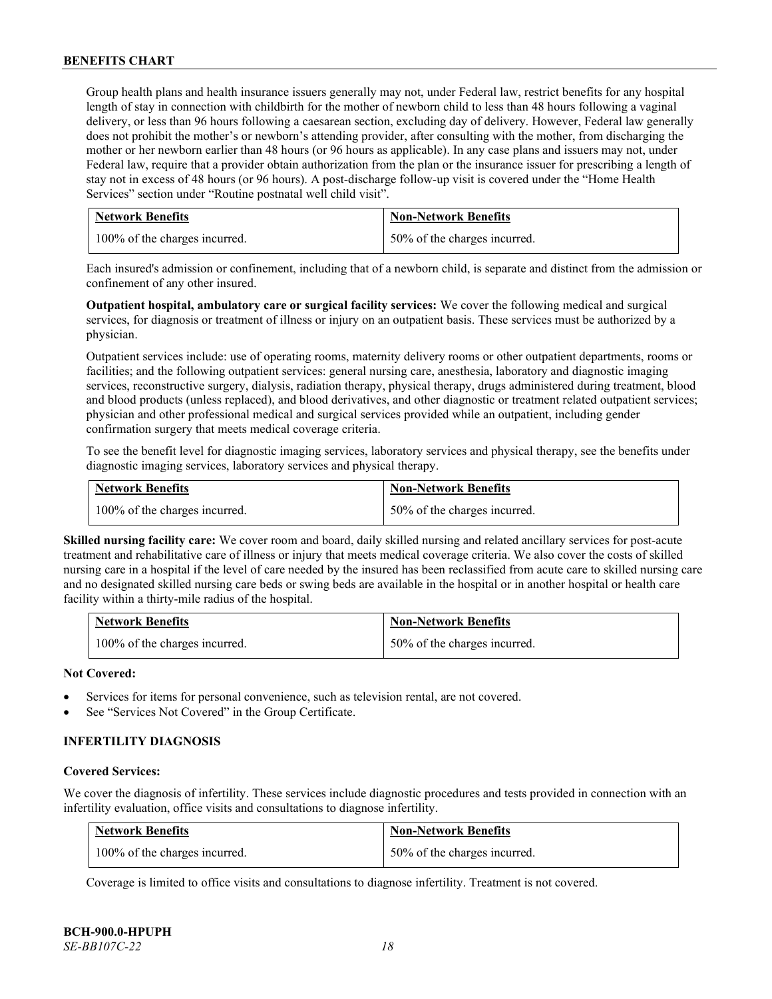Group health plans and health insurance issuers generally may not, under Federal law, restrict benefits for any hospital length of stay in connection with childbirth for the mother of newborn child to less than 48 hours following a vaginal delivery, or less than 96 hours following a caesarean section, excluding day of delivery. However, Federal law generally does not prohibit the mother's or newborn's attending provider, after consulting with the mother, from discharging the mother or her newborn earlier than 48 hours (or 96 hours as applicable). In any case plans and issuers may not, under Federal law, require that a provider obtain authorization from the plan or the insurance issuer for prescribing a length of stay not in excess of 48 hours (or 96 hours). A post-discharge follow-up visit is covered under the "Home Health Services" section under "Routine postnatal well child visit".

| <b>Network Benefits</b>       | <b>Non-Network Benefits</b>  |
|-------------------------------|------------------------------|
| 100% of the charges incurred. | 50% of the charges incurred. |

Each insured's admission or confinement, including that of a newborn child, is separate and distinct from the admission or confinement of any other insured.

**Outpatient hospital, ambulatory care or surgical facility services:** We cover the following medical and surgical services, for diagnosis or treatment of illness or injury on an outpatient basis. These services must be authorized by a physician.

Outpatient services include: use of operating rooms, maternity delivery rooms or other outpatient departments, rooms or facilities; and the following outpatient services: general nursing care, anesthesia, laboratory and diagnostic imaging services, reconstructive surgery, dialysis, radiation therapy, physical therapy, drugs administered during treatment, blood and blood products (unless replaced), and blood derivatives, and other diagnostic or treatment related outpatient services; physician and other professional medical and surgical services provided while an outpatient, including gender confirmation surgery that meets medical coverage criteria.

To see the benefit level for diagnostic imaging services, laboratory services and physical therapy, see the benefits under diagnostic imaging services, laboratory services and physical therapy.

| <b>Network Benefits</b>       | <b>Non-Network Benefits</b>  |
|-------------------------------|------------------------------|
| 100% of the charges incurred. | 50% of the charges incurred. |

**Skilled nursing facility care:** We cover room and board, daily skilled nursing and related ancillary services for post-acute treatment and rehabilitative care of illness or injury that meets medical coverage criteria. We also cover the costs of skilled nursing care in a hospital if the level of care needed by the insured has been reclassified from acute care to skilled nursing care and no designated skilled nursing care beds or swing beds are available in the hospital or in another hospital or health care facility within a thirty-mile radius of the hospital.

| <b>Network Benefits</b>       | <b>Non-Network Benefits</b>  |
|-------------------------------|------------------------------|
| 100% of the charges incurred. | 50% of the charges incurred. |

# **Not Covered:**

- Services for items for personal convenience, such as television rental, are not covered.
- See "Services Not Covered" in the Group Certificate.

# **INFERTILITY DIAGNOSIS**

#### **Covered Services:**

We cover the diagnosis of infertility. These services include diagnostic procedures and tests provided in connection with an infertility evaluation, office visits and consultations to diagnose infertility.

| <b>Network Benefits</b>       | <b>Non-Network Benefits</b>  |
|-------------------------------|------------------------------|
| 100% of the charges incurred. | 50% of the charges incurred. |

Coverage is limited to office visits and consultations to diagnose infertility. Treatment is not covered.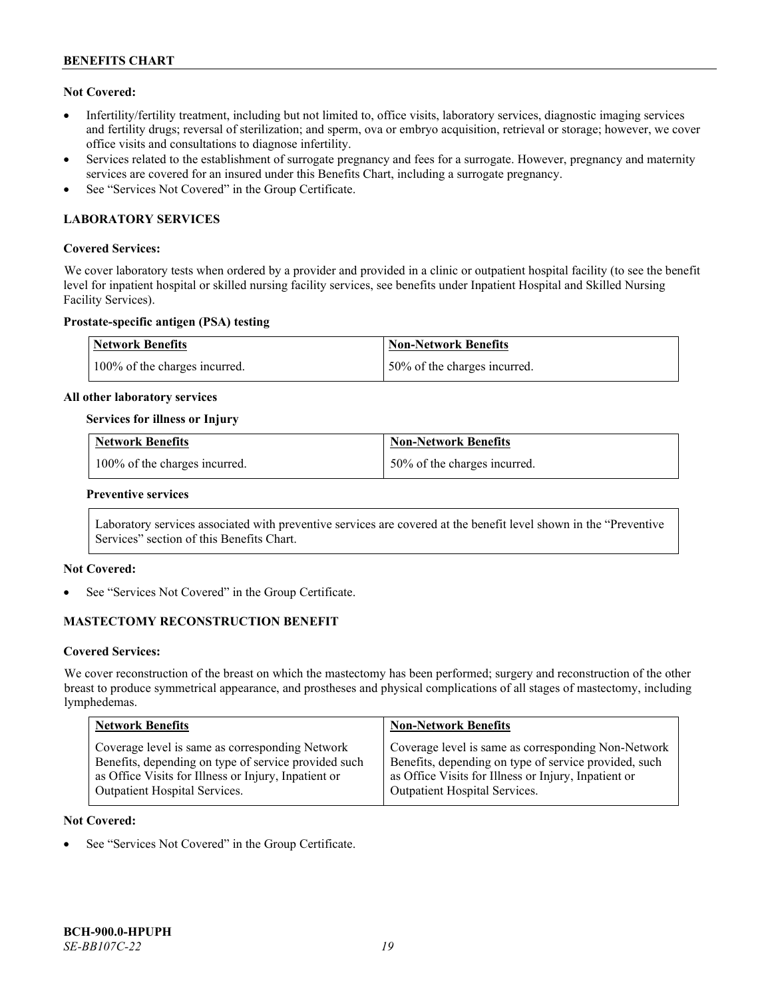# **Not Covered:**

- Infertility/fertility treatment, including but not limited to, office visits, laboratory services, diagnostic imaging services and fertility drugs; reversal of sterilization; and sperm, ova or embryo acquisition, retrieval or storage; however, we cover office visits and consultations to diagnose infertility.
- Services related to the establishment of surrogate pregnancy and fees for a surrogate. However, pregnancy and maternity services are covered for an insured under this Benefits Chart, including a surrogate pregnancy.
- See "Services Not Covered" in the Group Certificate.

# **LABORATORY SERVICES**

### **Covered Services:**

We cover laboratory tests when ordered by a provider and provided in a clinic or outpatient hospital facility (to see the benefit level for inpatient hospital or skilled nursing facility services, see benefits under Inpatient Hospital and Skilled Nursing Facility Services).

#### **Prostate-specific antigen (PSA) testing**

| Network Benefits              | Non-Network Benefits          |
|-------------------------------|-------------------------------|
| 100% of the charges incurred. | 150% of the charges incurred. |

#### **All other laboratory services**

#### **Services for illness or Injury**

| <b>Network Benefits</b>       | <b>Non-Network Benefits</b>  |
|-------------------------------|------------------------------|
| 100% of the charges incurred. | 50% of the charges incurred. |

#### **Preventive services**

Laboratory services associated with preventive services are covered at the benefit level shown in the "Preventive Services" section of this Benefits Chart.

# **Not Covered:**

See "Services Not Covered" in the Group Certificate.

# **MASTECTOMY RECONSTRUCTION BENEFIT**

#### **Covered Services:**

We cover reconstruction of the breast on which the mastectomy has been performed; surgery and reconstruction of the other breast to produce symmetrical appearance, and prostheses and physical complications of all stages of mastectomy, including lymphedemas.

| <b>Network Benefits</b>                              | <b>Non-Network Benefits</b>                           |
|------------------------------------------------------|-------------------------------------------------------|
| Coverage level is same as corresponding Network      | Coverage level is same as corresponding Non-Network   |
| Benefits, depending on type of service provided such | Benefits, depending on type of service provided, such |
| as Office Visits for Illness or Injury, Inpatient or | as Office Visits for Illness or Injury, Inpatient or  |
| Outpatient Hospital Services.                        | Outpatient Hospital Services.                         |

#### **Not Covered:**

See "Services Not Covered" in the Group Certificate.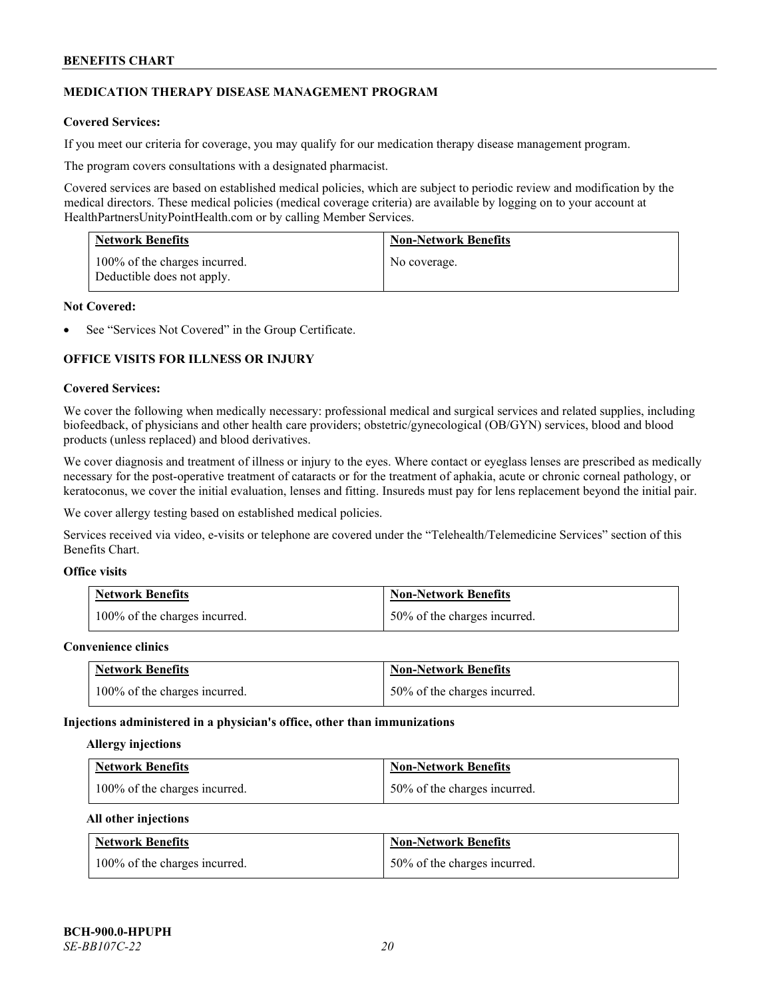# **MEDICATION THERAPY DISEASE MANAGEMENT PROGRAM**

# **Covered Services:**

If you meet our criteria for coverage, you may qualify for our medication therapy disease management program.

The program covers consultations with a designated pharmacist.

Covered services are based on established medical policies, which are subject to periodic review and modification by the medical directors. These medical policies (medical coverage criteria) are available by logging on to your account at [HealthPartnersUnityPointHealth.com](https://www.healthpartnersunitypointhealth.com/) or by calling Member Services.

| <b>Network Benefits</b>                                     | <b>Non-Network Benefits</b> |
|-------------------------------------------------------------|-----------------------------|
| 100% of the charges incurred.<br>Deductible does not apply. | No coverage.                |

#### **Not Covered:**

See "Services Not Covered" in the Group Certificate.

# **OFFICE VISITS FOR ILLNESS OR INJURY**

#### **Covered Services:**

We cover the following when medically necessary: professional medical and surgical services and related supplies, including biofeedback, of physicians and other health care providers; obstetric/gynecological (OB/GYN) services, blood and blood products (unless replaced) and blood derivatives.

We cover diagnosis and treatment of illness or injury to the eyes. Where contact or eyeglass lenses are prescribed as medically necessary for the post-operative treatment of cataracts or for the treatment of aphakia, acute or chronic corneal pathology, or keratoconus, we cover the initial evaluation, lenses and fitting. Insureds must pay for lens replacement beyond the initial pair.

We cover allergy testing based on established medical policies.

Services received via video, e-visits or telephone are covered under the "Telehealth/Telemedicine Services" section of this Benefits Chart.

# **Office visits**

| <b>Network Benefits</b>       | <b>Non-Network Benefits</b>  |
|-------------------------------|------------------------------|
| 100% of the charges incurred. | 50% of the charges incurred. |

#### **Convenience clinics**

| <b>Network Benefits</b>       | <b>Non-Network Benefits</b>  |
|-------------------------------|------------------------------|
| 100% of the charges incurred. | 50% of the charges incurred. |

#### **Injections administered in a physician's office, other than immunizations**

#### **Allergy injections**

| <b>Network Benefits</b>       | <b>Non-Network Benefits</b>  |
|-------------------------------|------------------------------|
| 100% of the charges incurred. | 50% of the charges incurred. |

#### **All other injections**

| <b>Network Benefits</b>       | <b>Non-Network Benefits</b>  |
|-------------------------------|------------------------------|
| 100% of the charges incurred. | 50% of the charges incurred. |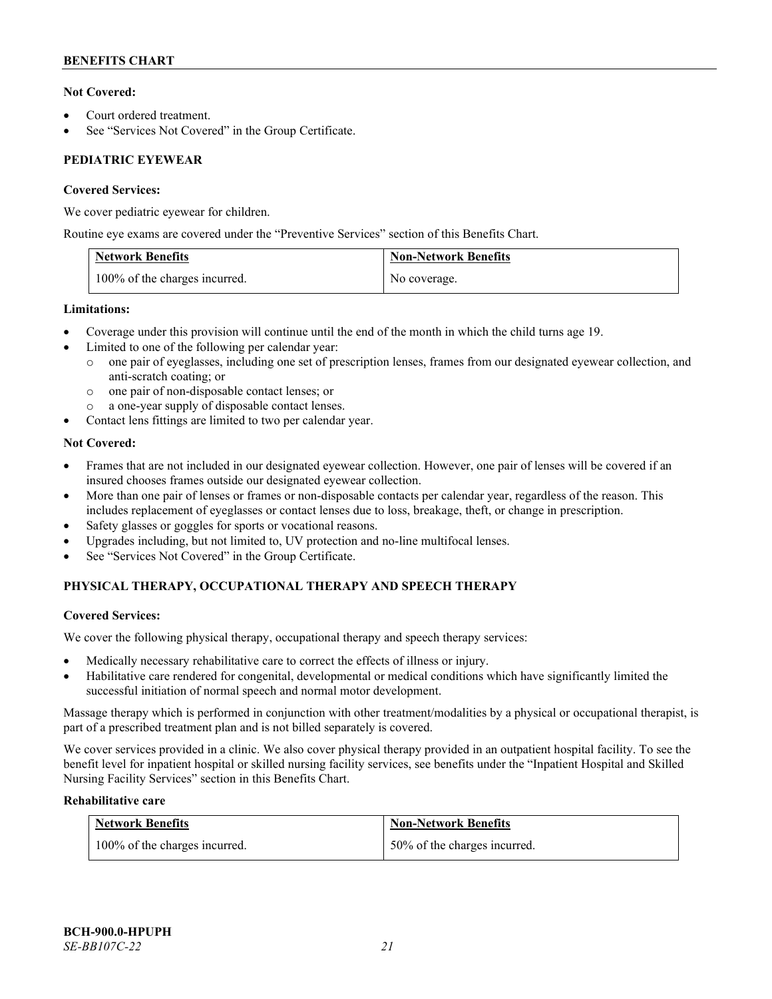# **Not Covered:**

- Court ordered treatment.
- See "Services Not Covered" in the Group Certificate.

# **PEDIATRIC EYEWEAR**

# **Covered Services:**

We cover pediatric eyewear for children.

Routine eye exams are covered under the "Preventive Services" section of this Benefits Chart.

| <b>Network Benefits</b>       | <b>Non-Network Benefits</b> |
|-------------------------------|-----------------------------|
| 100% of the charges incurred. | No coverage.                |

# **Limitations:**

- Coverage under this provision will continue until the end of the month in which the child turns age 19.
- Limited to one of the following per calendar year:
	- o one pair of eyeglasses, including one set of prescription lenses, frames from our designated eyewear collection, and anti-scratch coating; or
	- o one pair of non-disposable contact lenses; or
	- a one-year supply of disposable contact lenses.
- Contact lens fittings are limited to two per calendar year.

# **Not Covered:**

- Frames that are not included in our designated eyewear collection. However, one pair of lenses will be covered if an insured chooses frames outside our designated eyewear collection.
- More than one pair of lenses or frames or non-disposable contacts per calendar year, regardless of the reason. This includes replacement of eyeglasses or contact lenses due to loss, breakage, theft, or change in prescription.
- Safety glasses or goggles for sports or vocational reasons.
- Upgrades including, but not limited to, UV protection and no-line multifocal lenses.
- See "Services Not Covered" in the Group Certificate.

# **PHYSICAL THERAPY, OCCUPATIONAL THERAPY AND SPEECH THERAPY**

# **Covered Services:**

We cover the following physical therapy, occupational therapy and speech therapy services:

- Medically necessary rehabilitative care to correct the effects of illness or injury.
- Habilitative care rendered for congenital, developmental or medical conditions which have significantly limited the successful initiation of normal speech and normal motor development.

Massage therapy which is performed in conjunction with other treatment/modalities by a physical or occupational therapist, is part of a prescribed treatment plan and is not billed separately is covered.

We cover services provided in a clinic. We also cover physical therapy provided in an outpatient hospital facility. To see the benefit level for inpatient hospital or skilled nursing facility services, see benefits under the "Inpatient Hospital and Skilled Nursing Facility Services" section in this Benefits Chart.

# **Rehabilitative care**

| <b>Network Benefits</b>       | <b>Non-Network Benefits</b>  |
|-------------------------------|------------------------------|
| 100% of the charges incurred. | 50% of the charges incurred. |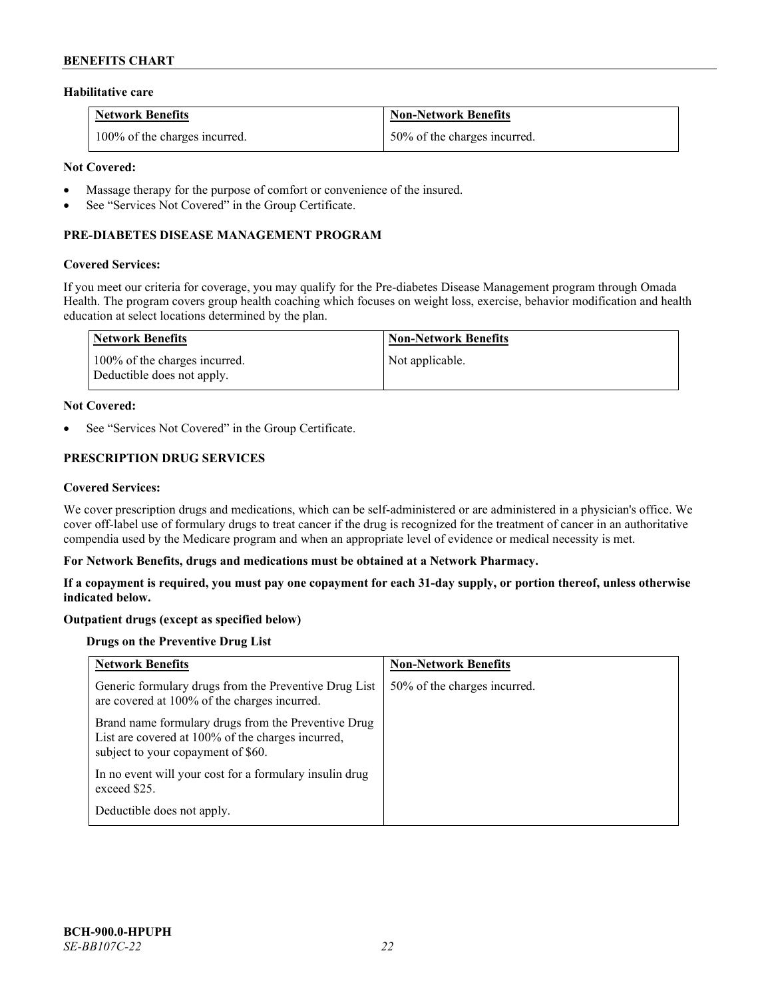#### **Habilitative care**

| <b>Network Benefits</b>       | <b>Non-Network Benefits</b>  |
|-------------------------------|------------------------------|
| 100% of the charges incurred. | 50% of the charges incurred. |

### **Not Covered:**

- Massage therapy for the purpose of comfort or convenience of the insured.
- See "Services Not Covered" in the Group Certificate.

# **PRE-DIABETES DISEASE MANAGEMENT PROGRAM**

#### **Covered Services:**

If you meet our criteria for coverage, you may qualify for the Pre-diabetes Disease Management program through Omada Health. The program covers group health coaching which focuses on weight loss, exercise, behavior modification and health education at select locations determined by the plan.

| Network Benefits                                            | <b>Non-Network Benefits</b> |
|-------------------------------------------------------------|-----------------------------|
| 100% of the charges incurred.<br>Deductible does not apply. | Not applicable.             |

#### **Not Covered:**

See "Services Not Covered" in the Group Certificate.

# **PRESCRIPTION DRUG SERVICES**

#### **Covered Services:**

We cover prescription drugs and medications, which can be self-administered or are administered in a physician's office. We cover off-label use of formulary drugs to treat cancer if the drug is recognized for the treatment of cancer in an authoritative compendia used by the Medicare program and when an appropriate level of evidence or medical necessity is met.

#### **For Network Benefits, drugs and medications must be obtained at a Network Pharmacy.**

**If a copayment is required, you must pay one copayment for each 31-day supply, or portion thereof, unless otherwise indicated below.**

# **Outpatient drugs (except as specified below)**

# **Drugs on the Preventive Drug List**

| <b>Network Benefits</b>                                                                                                                        | <b>Non-Network Benefits</b>  |
|------------------------------------------------------------------------------------------------------------------------------------------------|------------------------------|
| Generic formulary drugs from the Preventive Drug List<br>are covered at 100% of the charges incurred.                                          | 50% of the charges incurred. |
| Brand name formulary drugs from the Preventive Drug<br>List are covered at 100% of the charges incurred,<br>subject to your copayment of \$60. |                              |
| In no event will your cost for a formulary insulin drug<br>exceed \$25.                                                                        |                              |
| Deductible does not apply.                                                                                                                     |                              |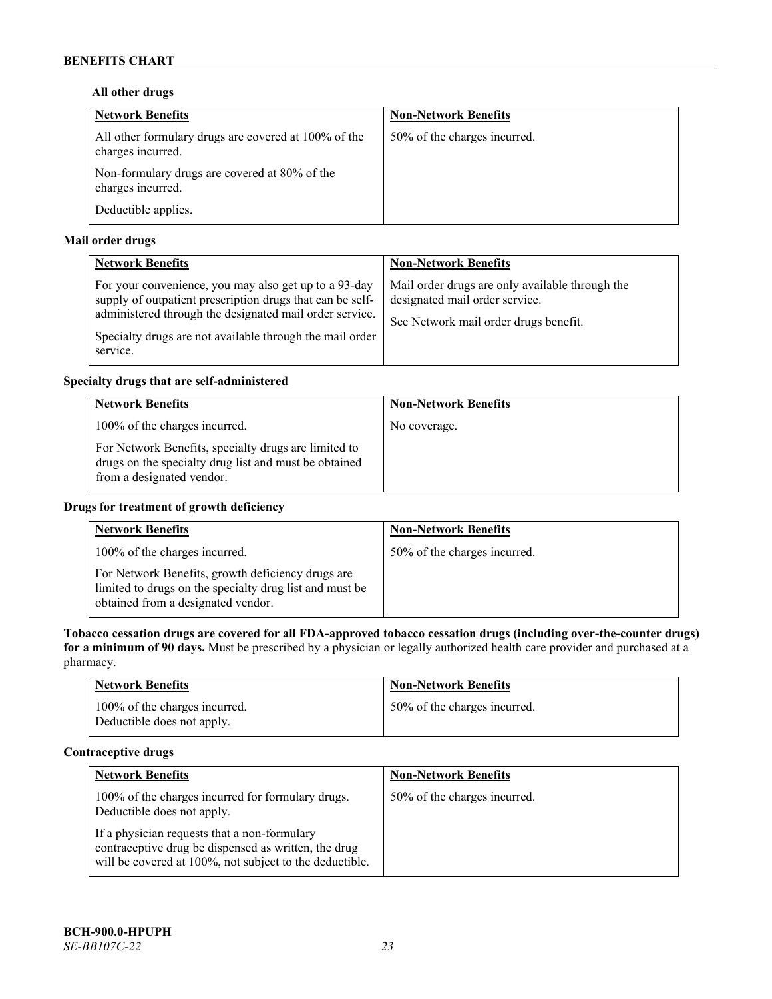# **All other drugs**

| <b>Network Benefits</b>                                                   | <b>Non-Network Benefits</b>  |
|---------------------------------------------------------------------------|------------------------------|
| All other formulary drugs are covered at 100% of the<br>charges incurred. | 50% of the charges incurred. |
| Non-formulary drugs are covered at 80% of the<br>charges incurred.        |                              |
| Deductible applies.                                                       |                              |

# **Mail order drugs**

| <b>Network Benefits</b>                                                                                                                                                                                                                               | <b>Non-Network Benefits</b>                                                                                                |
|-------------------------------------------------------------------------------------------------------------------------------------------------------------------------------------------------------------------------------------------------------|----------------------------------------------------------------------------------------------------------------------------|
| For your convenience, you may also get up to a 93-day<br>supply of outpatient prescription drugs that can be self-<br>administered through the designated mail order service.<br>Specialty drugs are not available through the mail order<br>service. | Mail order drugs are only available through the<br>designated mail order service.<br>See Network mail order drugs benefit. |

# **Specialty drugs that are self-administered**

| <b>Network Benefits</b>                                                                                                                    | <b>Non-Network Benefits</b> |
|--------------------------------------------------------------------------------------------------------------------------------------------|-----------------------------|
| 100% of the charges incurred.                                                                                                              | No coverage.                |
| For Network Benefits, specialty drugs are limited to<br>drugs on the specialty drug list and must be obtained<br>from a designated vendor. |                             |

# **Drugs for treatment of growth deficiency**

| <b>Network Benefits</b>                                                                                                                            | <b>Non-Network Benefits</b>  |
|----------------------------------------------------------------------------------------------------------------------------------------------------|------------------------------|
| 100% of the charges incurred.                                                                                                                      | 50% of the charges incurred. |
| For Network Benefits, growth deficiency drugs are<br>limited to drugs on the specialty drug list and must be<br>obtained from a designated vendor. |                              |

**Tobacco cessation drugs are covered for all FDA-approved tobacco cessation drugs (including over-the-counter drugs) for a minimum of 90 days.** Must be prescribed by a physician or legally authorized health care provider and purchased at a pharmacy.

| <b>Network Benefits</b>                                     | <b>Non-Network Benefits</b>  |
|-------------------------------------------------------------|------------------------------|
| 100% of the charges incurred.<br>Deductible does not apply. | 50% of the charges incurred. |

# **Contraceptive drugs**

| <b>Network Benefits</b>                                                                                                                                         | <b>Non-Network Benefits</b>  |
|-----------------------------------------------------------------------------------------------------------------------------------------------------------------|------------------------------|
| 100% of the charges incurred for formulary drugs.<br>Deductible does not apply.                                                                                 | 50% of the charges incurred. |
| If a physician requests that a non-formulary<br>contraceptive drug be dispensed as written, the drug<br>will be covered at 100%, not subject to the deductible. |                              |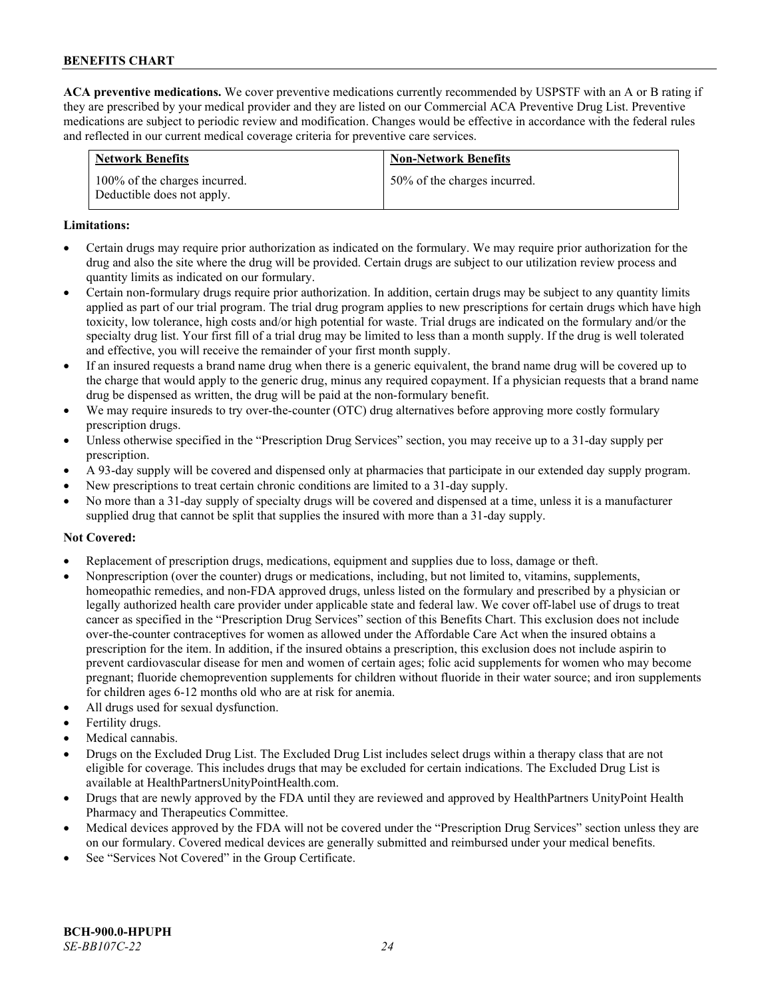**ACA preventive medications.** We cover preventive medications currently recommended by USPSTF with an A or B rating if they are prescribed by your medical provider and they are listed on our Commercial ACA Preventive Drug List. Preventive medications are subject to periodic review and modification. Changes would be effective in accordance with the federal rules and reflected in our current medical coverage criteria for preventive care services.

| <b>Network Benefits</b>                                     | <b>Non-Network Benefits</b>  |
|-------------------------------------------------------------|------------------------------|
| 100% of the charges incurred.<br>Deductible does not apply. | 50% of the charges incurred. |

#### **Limitations:**

- Certain drugs may require prior authorization as indicated on the formulary. We may require prior authorization for the drug and also the site where the drug will be provided. Certain drugs are subject to our utilization review process and quantity limits as indicated on our formulary.
- Certain non-formulary drugs require prior authorization. In addition, certain drugs may be subject to any quantity limits applied as part of our trial program. The trial drug program applies to new prescriptions for certain drugs which have high toxicity, low tolerance, high costs and/or high potential for waste. Trial drugs are indicated on the formulary and/or the specialty drug list. Your first fill of a trial drug may be limited to less than a month supply. If the drug is well tolerated and effective, you will receive the remainder of your first month supply.
- If an insured requests a brand name drug when there is a generic equivalent, the brand name drug will be covered up to the charge that would apply to the generic drug, minus any required copayment. If a physician requests that a brand name drug be dispensed as written, the drug will be paid at the non-formulary benefit.
- We may require insureds to try over-the-counter (OTC) drug alternatives before approving more costly formulary prescription drugs.
- Unless otherwise specified in the "Prescription Drug Services" section, you may receive up to a 31-day supply per prescription.
- A 93-day supply will be covered and dispensed only at pharmacies that participate in our extended day supply program.
- New prescriptions to treat certain chronic conditions are limited to a 31-day supply.
- No more than a 31-day supply of specialty drugs will be covered and dispensed at a time, unless it is a manufacturer supplied drug that cannot be split that supplies the insured with more than a 31-day supply.

# **Not Covered:**

- Replacement of prescription drugs, medications, equipment and supplies due to loss, damage or theft.
- Nonprescription (over the counter) drugs or medications, including, but not limited to, vitamins, supplements, homeopathic remedies, and non-FDA approved drugs, unless listed on the formulary and prescribed by a physician or legally authorized health care provider under applicable state and federal law. We cover off-label use of drugs to treat cancer as specified in the "Prescription Drug Services" section of this Benefits Chart. This exclusion does not include over-the-counter contraceptives for women as allowed under the Affordable Care Act when the insured obtains a prescription for the item. In addition, if the insured obtains a prescription, this exclusion does not include aspirin to prevent cardiovascular disease for men and women of certain ages; folic acid supplements for women who may become pregnant; fluoride chemoprevention supplements for children without fluoride in their water source; and iron supplements for children ages 6-12 months old who are at risk for anemia.
- All drugs used for sexual dysfunction.
- Fertility drugs.
- Medical cannabis.
- Drugs on the Excluded Drug List. The Excluded Drug List includes select drugs within a therapy class that are not eligible for coverage. This includes drugs that may be excluded for certain indications. The Excluded Drug List is available a[t HealthPartnersUnityPointHealth.com.](https://www.healthpartnersunitypointhealth.com/)
- Drugs that are newly approved by the FDA until they are reviewed and approved by HealthPartners UnityPoint Health Pharmacy and Therapeutics Committee.
- Medical devices approved by the FDA will not be covered under the "Prescription Drug Services" section unless they are on our formulary. Covered medical devices are generally submitted and reimbursed under your medical benefits.
- See "Services Not Covered" in the Group Certificate.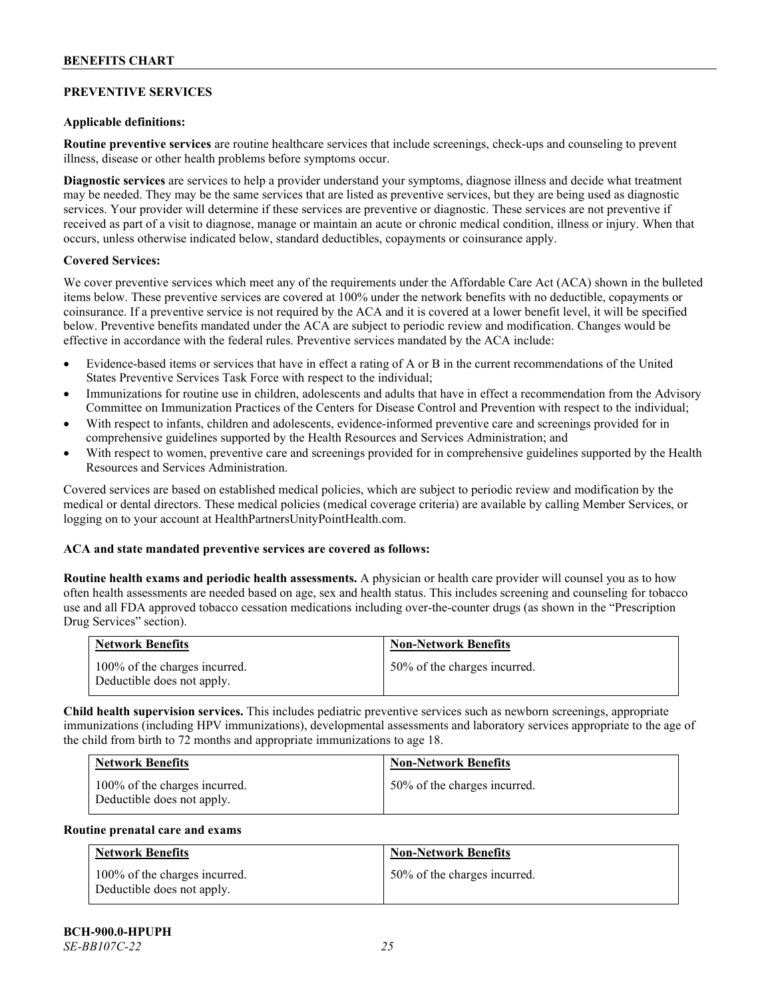# **PREVENTIVE SERVICES**

### **Applicable definitions:**

**Routine preventive services** are routine healthcare services that include screenings, check-ups and counseling to prevent illness, disease or other health problems before symptoms occur.

**Diagnostic services** are services to help a provider understand your symptoms, diagnose illness and decide what treatment may be needed. They may be the same services that are listed as preventive services, but they are being used as diagnostic services. Your provider will determine if these services are preventive or diagnostic. These services are not preventive if received as part of a visit to diagnose, manage or maintain an acute or chronic medical condition, illness or injury. When that occurs, unless otherwise indicated below, standard deductibles, copayments or coinsurance apply.

#### **Covered Services:**

We cover preventive services which meet any of the requirements under the Affordable Care Act (ACA) shown in the bulleted items below. These preventive services are covered at 100% under the network benefits with no deductible, copayments or coinsurance. If a preventive service is not required by the ACA and it is covered at a lower benefit level, it will be specified below. Preventive benefits mandated under the ACA are subject to periodic review and modification. Changes would be effective in accordance with the federal rules. Preventive services mandated by the ACA include:

- Evidence-based items or services that have in effect a rating of A or B in the current recommendations of the United States Preventive Services Task Force with respect to the individual;
- Immunizations for routine use in children, adolescents and adults that have in effect a recommendation from the Advisory Committee on Immunization Practices of the Centers for Disease Control and Prevention with respect to the individual;
- With respect to infants, children and adolescents, evidence-informed preventive care and screenings provided for in comprehensive guidelines supported by the Health Resources and Services Administration; and
- With respect to women, preventive care and screenings provided for in comprehensive guidelines supported by the Health Resources and Services Administration.

Covered services are based on established medical policies, which are subject to periodic review and modification by the medical or dental directors. These medical policies (medical coverage criteria) are available by calling Member Services, or logging on to your account at [HealthPartnersUnityPointHealth.com.](https://www.healthpartnersunitypointhealth.com/)

# **ACA and state mandated preventive services are covered as follows:**

**Routine health exams and periodic health assessments.** A physician or health care provider will counsel you as to how often health assessments are needed based on age, sex and health status. This includes screening and counseling for tobacco use and all FDA approved tobacco cessation medications including over-the-counter drugs (as shown in the "Prescription Drug Services" section).

| <b>Network Benefits</b>                                     | <b>Non-Network Benefits</b>  |
|-------------------------------------------------------------|------------------------------|
| 100% of the charges incurred.<br>Deductible does not apply. | 50% of the charges incurred. |

**Child health supervision services.** This includes pediatric preventive services such as newborn screenings, appropriate immunizations (including HPV immunizations), developmental assessments and laboratory services appropriate to the age of the child from birth to 72 months and appropriate immunizations to age 18.

| <b>Network Benefits</b>                                     | <b>Non-Network Benefits</b>  |
|-------------------------------------------------------------|------------------------------|
| 100% of the charges incurred.<br>Deductible does not apply. | 50% of the charges incurred. |

#### **Routine prenatal care and exams**

| <b>Network Benefits</b>                                     | <b>Non-Network Benefits</b>  |
|-------------------------------------------------------------|------------------------------|
| 100% of the charges incurred.<br>Deductible does not apply. | 50% of the charges incurred. |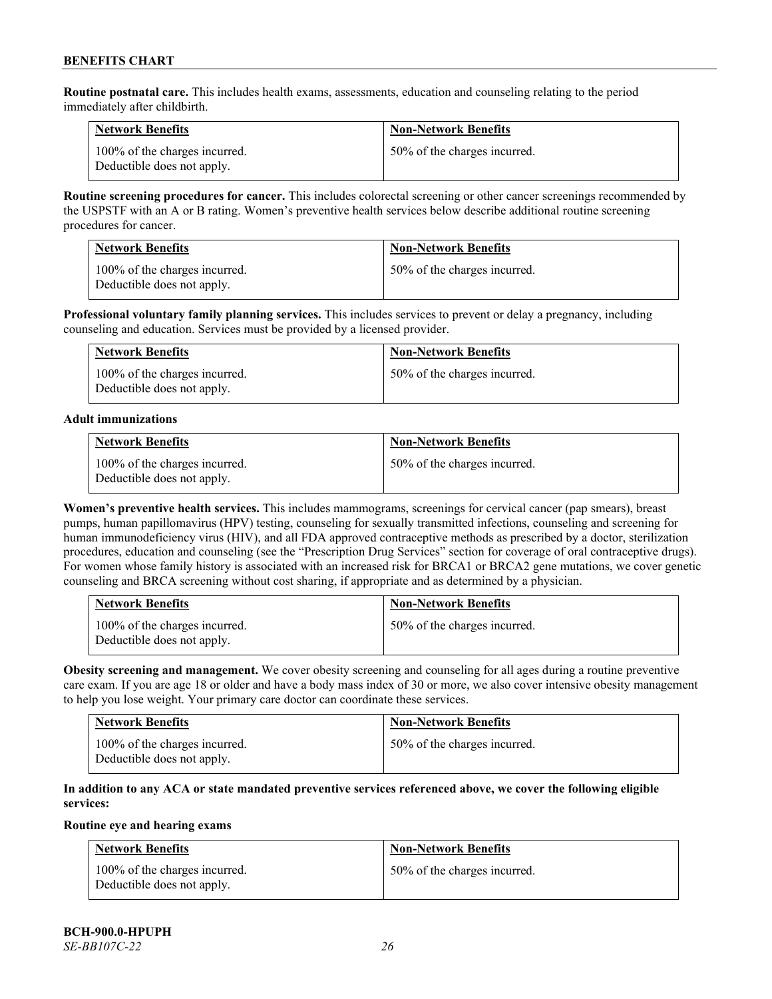**Routine postnatal care.** This includes health exams, assessments, education and counseling relating to the period immediately after childbirth.

| <b>Network Benefits</b>                                     | <b>Non-Network Benefits</b>  |
|-------------------------------------------------------------|------------------------------|
| 100% of the charges incurred.<br>Deductible does not apply. | 50% of the charges incurred. |

**Routine screening procedures for cancer.** This includes colorectal screening or other cancer screenings recommended by the USPSTF with an A or B rating. Women's preventive health services below describe additional routine screening procedures for cancer.

| <b>Network Benefits</b>                                     | <b>Non-Network Benefits</b>  |
|-------------------------------------------------------------|------------------------------|
| 100% of the charges incurred.<br>Deductible does not apply. | 50% of the charges incurred. |

**Professional voluntary family planning services.** This includes services to prevent or delay a pregnancy, including counseling and education. Services must be provided by a licensed provider.

| <b>Network Benefits</b>                                     | <b>Non-Network Benefits</b>  |
|-------------------------------------------------------------|------------------------------|
| 100% of the charges incurred.<br>Deductible does not apply. | 50% of the charges incurred. |

#### **Adult immunizations**

| <b>Network Benefits</b>                                     | <b>Non-Network Benefits</b>  |
|-------------------------------------------------------------|------------------------------|
| 100% of the charges incurred.<br>Deductible does not apply. | 50% of the charges incurred. |

**Women's preventive health services.** This includes mammograms, screenings for cervical cancer (pap smears), breast pumps, human papillomavirus (HPV) testing, counseling for sexually transmitted infections, counseling and screening for human immunodeficiency virus (HIV), and all FDA approved contraceptive methods as prescribed by a doctor, sterilization procedures, education and counseling (see the "Prescription Drug Services" section for coverage of oral contraceptive drugs). For women whose family history is associated with an increased risk for BRCA1 or BRCA2 gene mutations, we cover genetic counseling and BRCA screening without cost sharing, if appropriate and as determined by a physician.

| <b>Network Benefits</b>                                     | <b>Non-Network Benefits</b>  |
|-------------------------------------------------------------|------------------------------|
| 100% of the charges incurred.<br>Deductible does not apply. | 50% of the charges incurred. |

**Obesity screening and management.** We cover obesity screening and counseling for all ages during a routine preventive care exam. If you are age 18 or older and have a body mass index of 30 or more, we also cover intensive obesity management to help you lose weight. Your primary care doctor can coordinate these services.

| <b>Network Benefits</b>                                     | <b>Non-Network Benefits</b>  |
|-------------------------------------------------------------|------------------------------|
| 100% of the charges incurred.<br>Deductible does not apply. | 50% of the charges incurred. |

# **In addition to any ACA or state mandated preventive services referenced above, we cover the following eligible services:**

# **Routine eye and hearing exams**

| <b>Network Benefits</b>                                     | <b>Non-Network Benefits</b>  |
|-------------------------------------------------------------|------------------------------|
| 100% of the charges incurred.<br>Deductible does not apply. | 50% of the charges incurred. |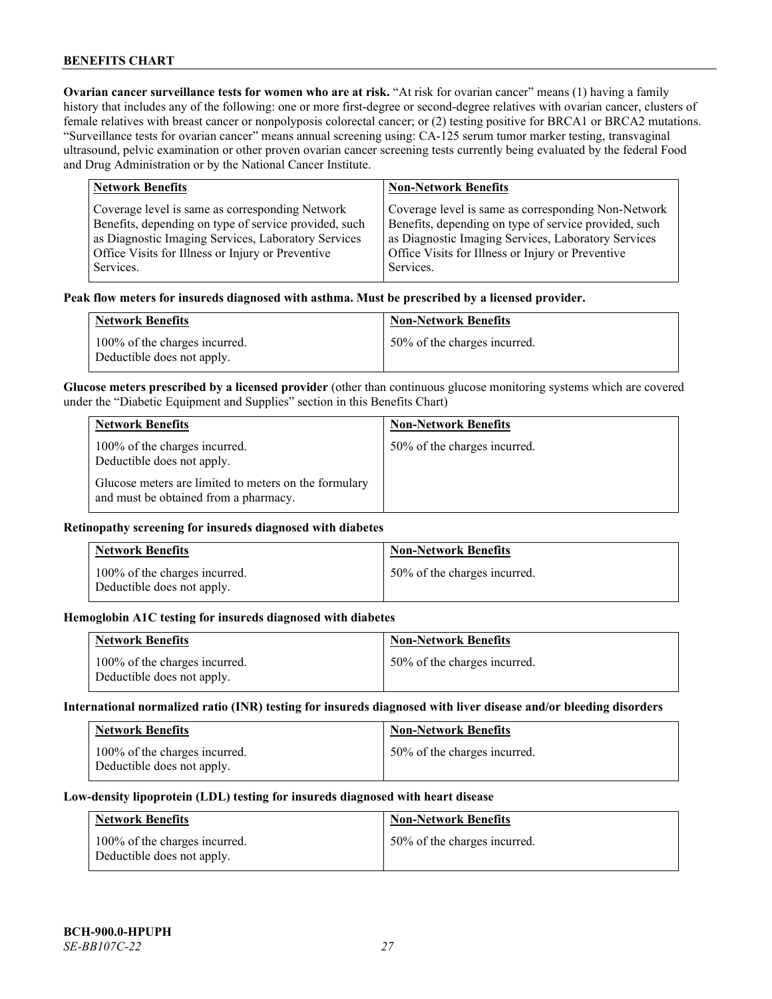**Ovarian cancer surveillance tests for women who are at risk. "At risk for ovarian cancer" means (1) having a family** history that includes any of the following: one or more first-degree or second-degree relatives with ovarian cancer, clusters of female relatives with breast cancer or nonpolyposis colorectal cancer; or (2) testing positive for BRCA1 or BRCA2 mutations. "Surveillance tests for ovarian cancer" means annual screening using: CA-125 serum tumor marker testing, transvaginal ultrasound, pelvic examination or other proven ovarian cancer screening tests currently being evaluated by the federal Food and Drug Administration or by the National Cancer Institute.

| <b>Network Benefits</b>                               | <b>Non-Network Benefits</b>                           |
|-------------------------------------------------------|-------------------------------------------------------|
| Coverage level is same as corresponding Network       | Coverage level is same as corresponding Non-Network   |
| Benefits, depending on type of service provided, such | Benefits, depending on type of service provided, such |
| as Diagnostic Imaging Services, Laboratory Services   | as Diagnostic Imaging Services, Laboratory Services   |
| Office Visits for Illness or Injury or Preventive     | Office Visits for Illness or Injury or Preventive     |
| Services.                                             | Services.                                             |

#### **Peak flow meters for insureds diagnosed with asthma. Must be prescribed by a licensed provider.**

| <b>Network Benefits</b>                                     | <b>Non-Network Benefits</b>  |
|-------------------------------------------------------------|------------------------------|
| 100% of the charges incurred.<br>Deductible does not apply. | 50% of the charges incurred. |

**Glucose meters prescribed by a licensed provider** (other than continuous glucose monitoring systems which are covered under the "Diabetic Equipment and Supplies" section in this Benefits Chart)

| <b>Network Benefits</b>                                                                        | <b>Non-Network Benefits</b>  |
|------------------------------------------------------------------------------------------------|------------------------------|
| 100% of the charges incurred.<br>Deductible does not apply.                                    | 50% of the charges incurred. |
| Glucose meters are limited to meters on the formulary<br>and must be obtained from a pharmacy. |                              |

### **Retinopathy screening for insureds diagnosed with diabetes**

| <b>Network Benefits</b>                                     | <b>Non-Network Benefits</b>  |
|-------------------------------------------------------------|------------------------------|
| 100% of the charges incurred.<br>Deductible does not apply. | 50% of the charges incurred. |

#### **Hemoglobin A1C testing for insureds diagnosed with diabetes**

| <b>Network Benefits</b>                                     | <b>Non-Network Benefits</b>  |
|-------------------------------------------------------------|------------------------------|
| 100% of the charges incurred.<br>Deductible does not apply. | 50% of the charges incurred. |

# **International normalized ratio (INR) testing for insureds diagnosed with liver disease and/or bleeding disorders**

| <b>Network Benefits</b>                                     | <b>Non-Network Benefits</b>  |
|-------------------------------------------------------------|------------------------------|
| 100% of the charges incurred.<br>Deductible does not apply. | 50% of the charges incurred. |

#### **Low-density lipoprotein (LDL) testing for insureds diagnosed with heart disease**

| <b>Network Benefits</b>                                     | <b>Non-Network Benefits</b>  |
|-------------------------------------------------------------|------------------------------|
| 100% of the charges incurred.<br>Deductible does not apply. | 50% of the charges incurred. |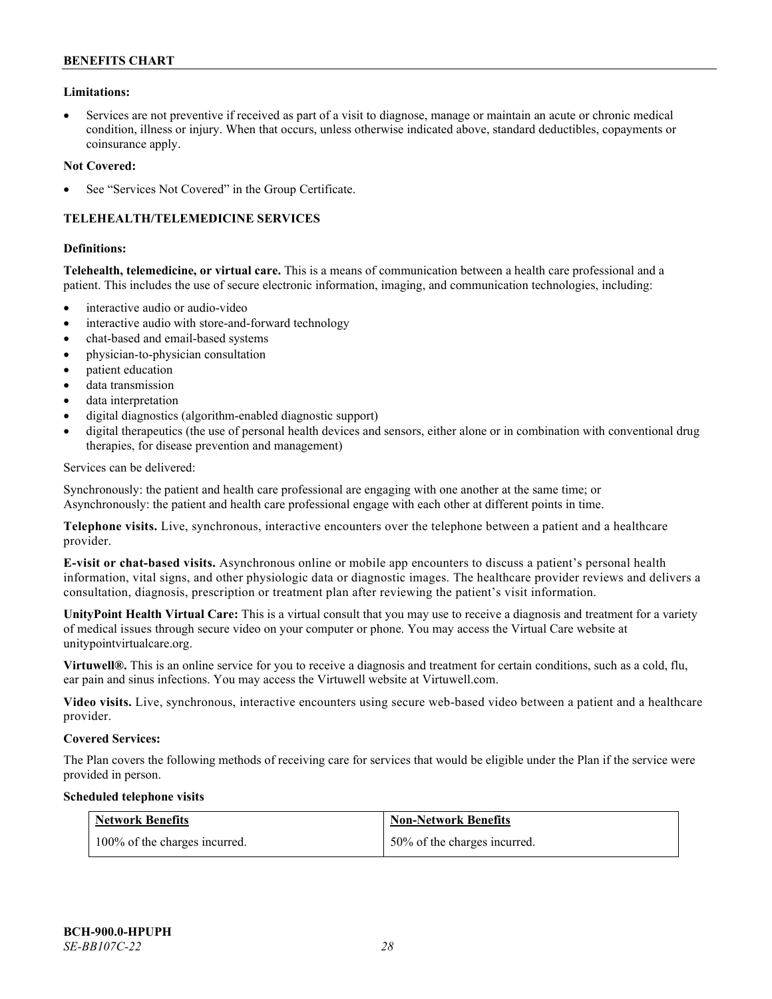### **Limitations:**

• Services are not preventive if received as part of a visit to diagnose, manage or maintain an acute or chronic medical condition, illness or injury. When that occurs, unless otherwise indicated above, standard deductibles, copayments or coinsurance apply.

#### **Not Covered:**

See "Services Not Covered" in the Group Certificate.

# **TELEHEALTH/TELEMEDICINE SERVICES**

#### **Definitions:**

**Telehealth, telemedicine, or virtual care.** This is a means of communication between a health care professional and a patient. This includes the use of secure electronic information, imaging, and communication technologies, including:

- interactive audio or audio-video
- interactive audio with store-and-forward technology
- chat-based and email-based systems
- physician-to-physician consultation
- patient education
- data transmission
- data interpretation
- digital diagnostics (algorithm-enabled diagnostic support)
- digital therapeutics (the use of personal health devices and sensors, either alone or in combination with conventional drug therapies, for disease prevention and management)

#### Services can be delivered:

Synchronously: the patient and health care professional are engaging with one another at the same time; or Asynchronously: the patient and health care professional engage with each other at different points in time.

**Telephone visits.** Live, synchronous, interactive encounters over the telephone between a patient and a healthcare provider.

**E-visit or chat-based visits.** Asynchronous online or mobile app encounters to discuss a patient's personal health information, vital signs, and other physiologic data or diagnostic images. The healthcare provider reviews and delivers a consultation, diagnosis, prescription or treatment plan after reviewing the patient's visit information.

**UnityPoint Health Virtual Care:** This is a virtual consult that you may use to receive a diagnosis and treatment for a variety of medical issues through secure video on your computer or phone. You may access the Virtual Care website at [unitypointvirtualcare.org.](https://unitypointvirtualcare.org/landing.htm)

**Virtuwell®.** This is an online service for you to receive a diagnosis and treatment for certain conditions, such as a cold, flu, ear pain and sinus infections. You may access the Virtuwell website at [Virtuwell.com.](https://www.virtuwell.com/)

**Video visits.** Live, synchronous, interactive encounters using secure web-based video between a patient and a healthcare provider.

#### **Covered Services:**

The Plan covers the following methods of receiving care for services that would be eligible under the Plan if the service were provided in person.

#### **Scheduled telephone visits**

| <b>Network Benefits</b>       | <b>Non-Network Benefits</b>  |
|-------------------------------|------------------------------|
| 100% of the charges incurred. | 50% of the charges incurred. |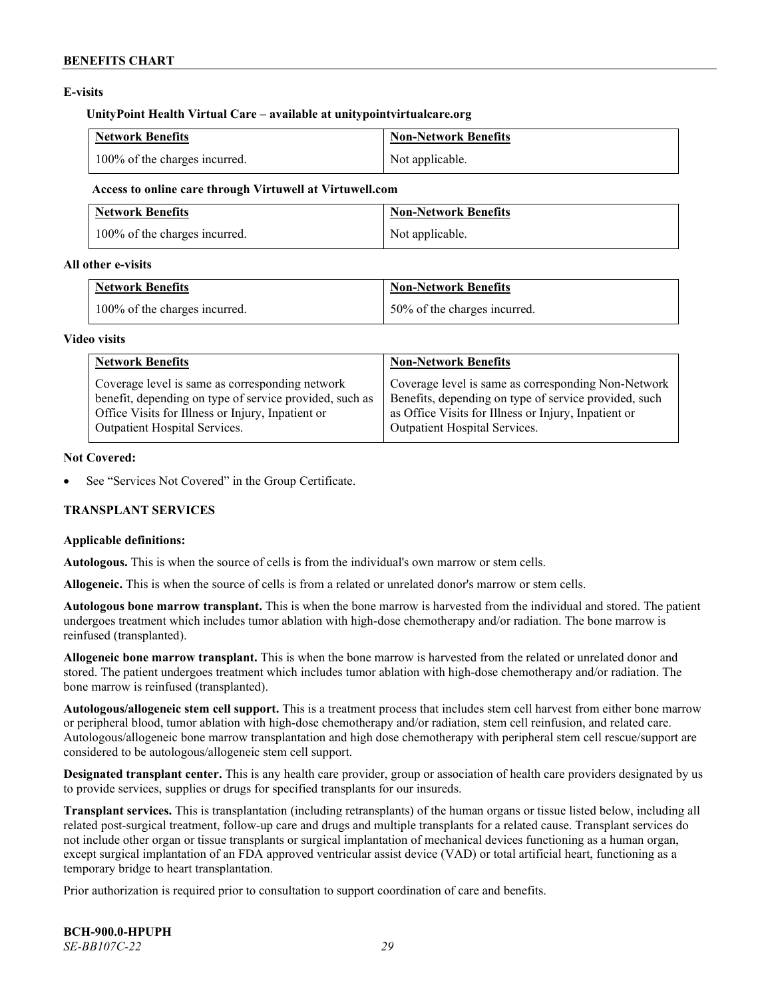# **E-visits**

#### **UnityPoint Health Virtual Care – available at [unitypointvirtualcare.org](http://www.unitypointvirtualcare.org/)**

| <b>Network Benefits</b>       | Non-Network Benefits |
|-------------------------------|----------------------|
| 100% of the charges incurred. | Not applicable.      |

#### **Access to online care through Virtuwell at [Virtuwell.com](http://www.virtuwell.com/)**

| <b>Network Benefits</b>       | Non-Network Benefits |
|-------------------------------|----------------------|
| 100% of the charges incurred. | Not applicable.      |

### **All other e-visits**

| <b>Network Benefits</b>       | Non-Network Benefits         |
|-------------------------------|------------------------------|
| 100% of the charges incurred. | 50% of the charges incurred. |

#### **Video visits**

| <b>Network Benefits</b>                                 | <b>Non-Network Benefits</b>                           |
|---------------------------------------------------------|-------------------------------------------------------|
| Coverage level is same as corresponding network         | Coverage level is same as corresponding Non-Network   |
| benefit, depending on type of service provided, such as | Benefits, depending on type of service provided, such |
| Office Visits for Illness or Injury, Inpatient or       | as Office Visits for Illness or Injury, Inpatient or  |
| Outpatient Hospital Services.                           | Outpatient Hospital Services.                         |

### **Not Covered:**

See "Services Not Covered" in the Group Certificate.

# **TRANSPLANT SERVICES**

# **Applicable definitions:**

**Autologous.** This is when the source of cells is from the individual's own marrow or stem cells.

**Allogeneic.** This is when the source of cells is from a related or unrelated donor's marrow or stem cells.

**Autologous bone marrow transplant.** This is when the bone marrow is harvested from the individual and stored. The patient undergoes treatment which includes tumor ablation with high-dose chemotherapy and/or radiation. The bone marrow is reinfused (transplanted).

**Allogeneic bone marrow transplant.** This is when the bone marrow is harvested from the related or unrelated donor and stored. The patient undergoes treatment which includes tumor ablation with high-dose chemotherapy and/or radiation. The bone marrow is reinfused (transplanted).

**Autologous/allogeneic stem cell support.** This is a treatment process that includes stem cell harvest from either bone marrow or peripheral blood, tumor ablation with high-dose chemotherapy and/or radiation, stem cell reinfusion, and related care. Autologous/allogeneic bone marrow transplantation and high dose chemotherapy with peripheral stem cell rescue/support are considered to be autologous/allogeneic stem cell support.

**Designated transplant center.** This is any health care provider, group or association of health care providers designated by us to provide services, supplies or drugs for specified transplants for our insureds.

**Transplant services.** This is transplantation (including retransplants) of the human organs or tissue listed below, including all related post-surgical treatment, follow-up care and drugs and multiple transplants for a related cause. Transplant services do not include other organ or tissue transplants or surgical implantation of mechanical devices functioning as a human organ, except surgical implantation of an FDA approved ventricular assist device (VAD) or total artificial heart, functioning as a temporary bridge to heart transplantation.

Prior authorization is required prior to consultation to support coordination of care and benefits.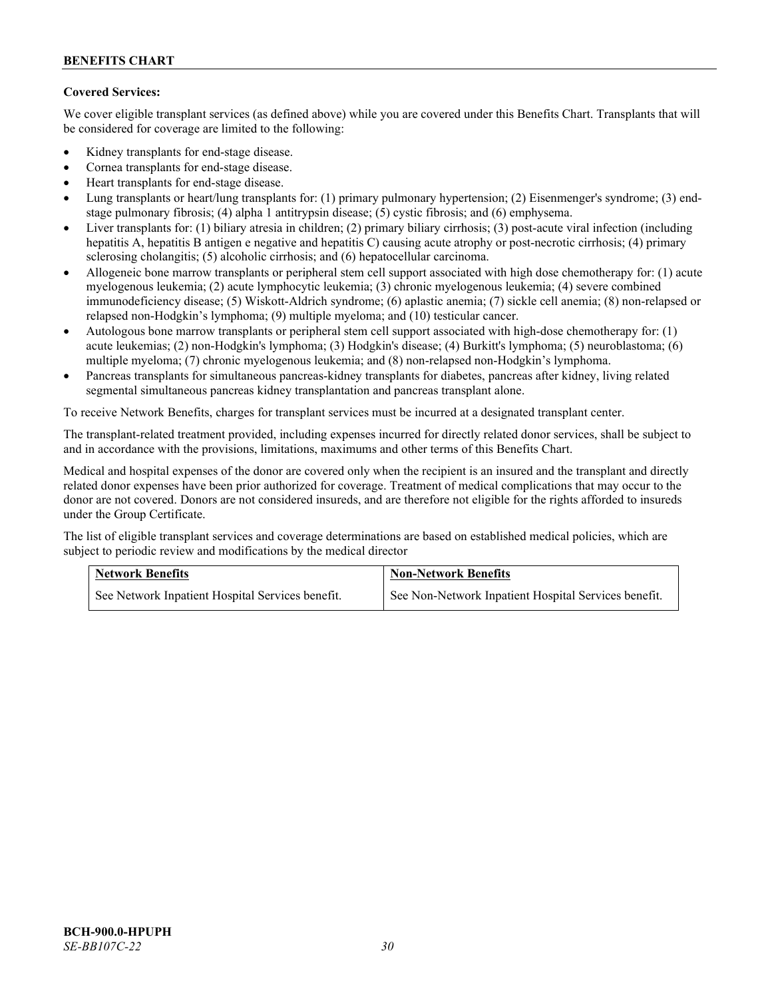# **Covered Services:**

We cover eligible transplant services (as defined above) while you are covered under this Benefits Chart. Transplants that will be considered for coverage are limited to the following:

- Kidney transplants for end-stage disease.
- Cornea transplants for end-stage disease.
- Heart transplants for end-stage disease.
- Lung transplants or heart/lung transplants for: (1) primary pulmonary hypertension; (2) Eisenmenger's syndrome; (3) endstage pulmonary fibrosis; (4) alpha 1 antitrypsin disease; (5) cystic fibrosis; and (6) emphysema.
- Liver transplants for: (1) biliary atresia in children; (2) primary biliary cirrhosis; (3) post-acute viral infection (including hepatitis A, hepatitis B antigen e negative and hepatitis C) causing acute atrophy or post-necrotic cirrhosis; (4) primary sclerosing cholangitis; (5) alcoholic cirrhosis; and (6) hepatocellular carcinoma.
- Allogeneic bone marrow transplants or peripheral stem cell support associated with high dose chemotherapy for: (1) acute myelogenous leukemia; (2) acute lymphocytic leukemia; (3) chronic myelogenous leukemia; (4) severe combined immunodeficiency disease; (5) Wiskott-Aldrich syndrome; (6) aplastic anemia; (7) sickle cell anemia; (8) non-relapsed or relapsed non-Hodgkin's lymphoma; (9) multiple myeloma; and (10) testicular cancer.
- Autologous bone marrow transplants or peripheral stem cell support associated with high-dose chemotherapy for: (1) acute leukemias; (2) non-Hodgkin's lymphoma; (3) Hodgkin's disease; (4) Burkitt's lymphoma; (5) neuroblastoma; (6) multiple myeloma; (7) chronic myelogenous leukemia; and (8) non-relapsed non-Hodgkin's lymphoma.
- Pancreas transplants for simultaneous pancreas-kidney transplants for diabetes, pancreas after kidney, living related segmental simultaneous pancreas kidney transplantation and pancreas transplant alone.

To receive Network Benefits, charges for transplant services must be incurred at a designated transplant center.

The transplant-related treatment provided, including expenses incurred for directly related donor services, shall be subject to and in accordance with the provisions, limitations, maximums and other terms of this Benefits Chart.

Medical and hospital expenses of the donor are covered only when the recipient is an insured and the transplant and directly related donor expenses have been prior authorized for coverage. Treatment of medical complications that may occur to the donor are not covered. Donors are not considered insureds, and are therefore not eligible for the rights afforded to insureds under the Group Certificate.

The list of eligible transplant services and coverage determinations are based on established medical policies, which are subject to periodic review and modifications by the medical director

| <b>Network Benefits</b>                          | <b>Non-Network Benefits</b>                          |  |
|--------------------------------------------------|------------------------------------------------------|--|
| See Network Inpatient Hospital Services benefit. | See Non-Network Inpatient Hospital Services benefit. |  |